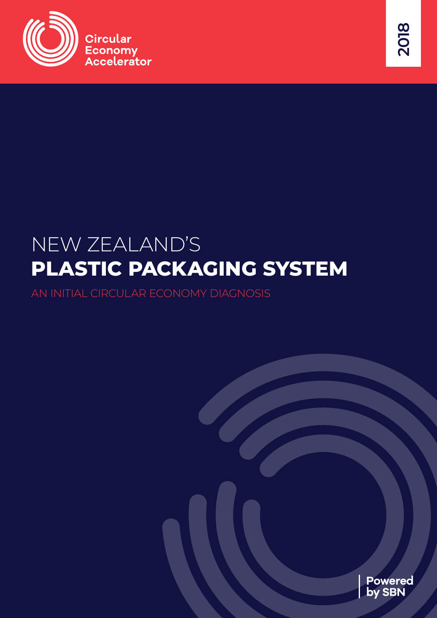



# NEW ZEALAND'S **PLASTIC PACKAGING SYSTEM**

AN INITIAL CIRCULAR ECONOMY DIAGNOSIS

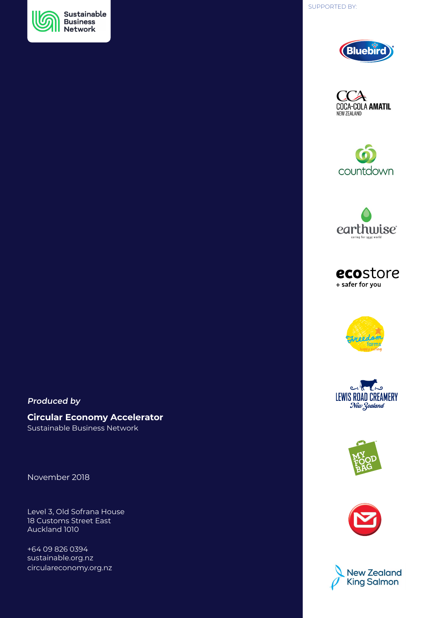





















## **Produced by**

## **Circular Economy Accelerator**

Sustainable Business Network

November 2018

Level 3, Old Sofrana House 18 Customs Street East Auckland 1010

+64 09 826 0394 sustainable.org.nz circulareconomy.org.nz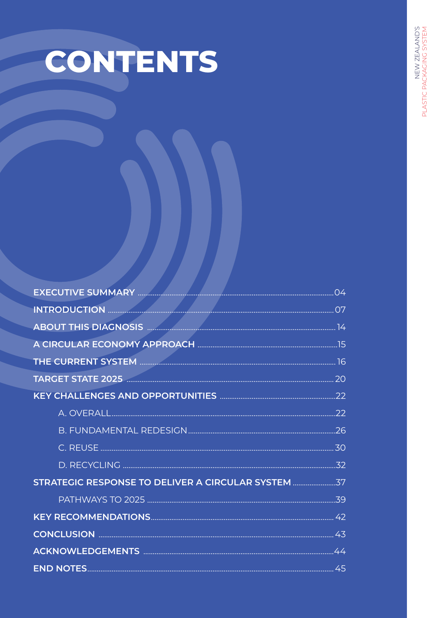# CONTENTS

| INTRODUCTION MARIA MEDICINE DE L'ANNE DE L'ANNE DE L'ANNE DE L'ANNE DE L'ANNE DE L'ANNE DE L'ANNE DE L'ANNE D |  |
|---------------------------------------------------------------------------------------------------------------|--|
|                                                                                                               |  |
|                                                                                                               |  |
|                                                                                                               |  |
|                                                                                                               |  |
|                                                                                                               |  |
|                                                                                                               |  |
|                                                                                                               |  |
|                                                                                                               |  |
|                                                                                                               |  |
| STRATEGIC RESPONSE TO DELIVER A CIRCULAR SYSTEM                                                               |  |
|                                                                                                               |  |
|                                                                                                               |  |
|                                                                                                               |  |
|                                                                                                               |  |
|                                                                                                               |  |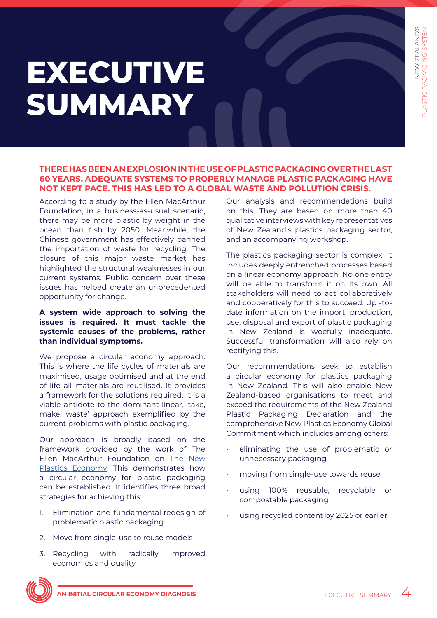# <span id="page-3-0"></span>**EXECUTIVE SUMMARY**

### **THERE HAS BEEN AN EXPLOSION IN THE USE OF PLASTIC PACKAGING OVER THE LAST 60 YEARS. ADEQUATE SYSTEMS TO PROPERLY MANAGE PLASTIC PACKAGING HAVE NOT KEPT PACE. THIS HAS LED TO A GLOBAL WASTE AND POLLUTION CRISIS.**

According to a study by the Ellen MacArthur Foundation, in a business-as-usual scenario, there may be more plastic by weight in the ocean than fish by 2050. Meanwhile, the Chinese government has effectively banned the importation of waste for recycling. The closure of this major waste market has highlighted the structural weaknesses in our current systems. Public concern over these issues has helped create an unprecedented opportunity for change.

#### **A system wide approach to solving the issues is required. It must tackle the systemic causes of the problems, rather than individual symptoms.**

We propose a circular economy approach. This is where the life cycles of materials are maximised, usage optimised and at the end of life all materials are reutilised. It provides a framework for the solutions required. It is a viable antidote to the dominant linear, 'take, make, waste' approach exemplified by the current problems with plastic packaging.

Our approach is broadly based on the framework provided by the work of The Ellen MacArthur Foundation on [The New](https://newplasticseconomy.org/)  [Plastics Economy](https://newplasticseconomy.org/). This demonstrates how a circular economy for plastic packaging can be established. It identifies three broad strategies for achieving this:

- 1. Elimination and fundamental redesign of problematic plastic packaging
- 2. Move from single-use to reuse models
- 3. Recycling with radically improved economics and quality

Our analysis and recommendations build on this. They are based on more than 40 qualitative interviews with key representatives of New Zealand's plastics packaging sector, and an accompanying workshop.

The plastics packaging sector is complex. It includes deeply entrenched processes based on a linear economy approach. No one entity will be able to transform it on its own. All stakeholders will need to act collaboratively and cooperatively for this to succeed. Up -todate information on the import, production, use, disposal and export of plastic packaging in New Zealand is woefully inadequate. Successful transformation will also rely on rectifying this.

Our recommendations seek to establish a circular economy for plastics packaging in New Zealand. This will also enable New Zealand-based organisations to meet and exceed the requirements of the New Zealand Plastic Packaging Declaration and the comprehensive New Plastics Economy Global Commitment which includes among others:

- eliminating the use of problematic or unnecessary packaging
- moving from single-use towards reuse
- using 100% reusable, recyclable or compostable packaging
- using recycled content by 2025 or earlier

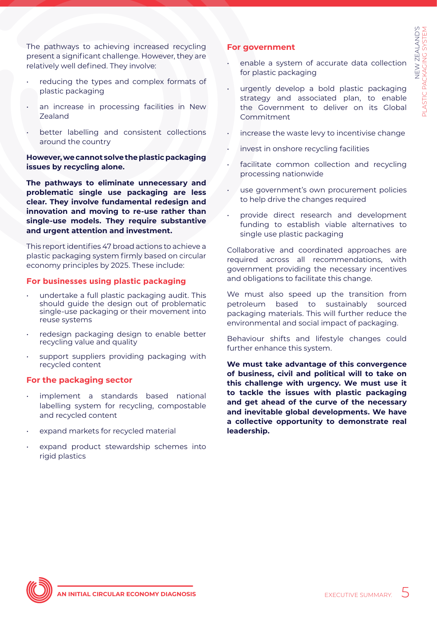The pathways to achieving increased recycling present a significant challenge. However, they are relatively well defined. They involve:

- reducing the types and complex formats of plastic packaging
- an increase in processing facilities in New Zealand
- better labelling and consistent collections around the country

**However, we cannot solve the plastic packaging issues by recycling alone.**

**The pathways to eliminate unnecessary and problematic single use packaging are less clear. They involve fundamental redesign and innovation and moving to re-use rather than single-use models. They require substantive and urgent attention and investment.**

This report identifies 47 broad actions to achieve a plastic packaging system firmly based on circular economy principles by 2025. These include:

#### **For businesses using plastic packaging**

- undertake a full plastic packaging audit. This should guide the design out of problematic single-use packaging or their movement into reuse systems
- redesign packaging design to enable better recycling value and quality
- support suppliers providing packaging with recycled content

#### **For the packaging sector**

- implement a standards based national labelling system for recycling, compostable and recycled content
- expand markets for recycled material
- expand product stewardship schemes into rigid plastics

#### **For government**

- enable a system of accurate data collection for plastic packaging
- urgently develop a bold plastic packaging strategy and associated plan, to enable the Government to deliver on its Global Commitment
- increase the waste levy to incentivise change
- invest in onshore recycling facilities
- facilitate common collection and recycling processing nationwide
- use government's own procurement policies to help drive the changes required
- provide direct research and development funding to establish viable alternatives to single use plastic packaging

Collaborative and coordinated approaches are required across all recommendations, with government providing the necessary incentives and obligations to facilitate this change.

We must also speed up the transition from petroleum based to sustainably sourced packaging materials. This will further reduce the environmental and social impact of packaging.

Behaviour shifts and lifestyle changes could further enhance this system.

**We must take advantage of this convergence of business, civil and political will to take on this challenge with urgency. We must use it to tackle the issues with plastic packaging and get ahead of the curve of the necessary and inevitable global developments. We have a collective opportunity to demonstrate real leadership.**

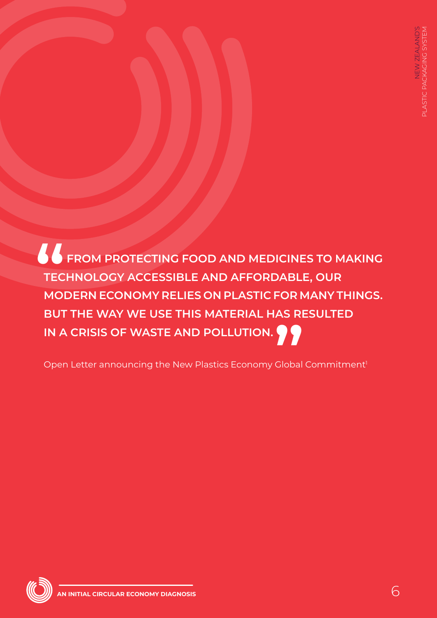**FROM PROTECTING FOOD AND MEDICINES TO MAKING TECHNOLOGY ACCESSIBLE AND AFFORDABLE, OUR MODERN ECONOMY RELIES ON PLASTIC FOR MANY THINGS. BUT THE WAY WE USE THIS MATERIAL HAS RESULTED IN A CRISIS OF WASTE AND POLLUTION. 66**<br>TEC<br>MOI -URT<br>AS RI<br>**99** 

Open Letter announcing the New Plastics Economy Global Commitment<sup>1</sup>

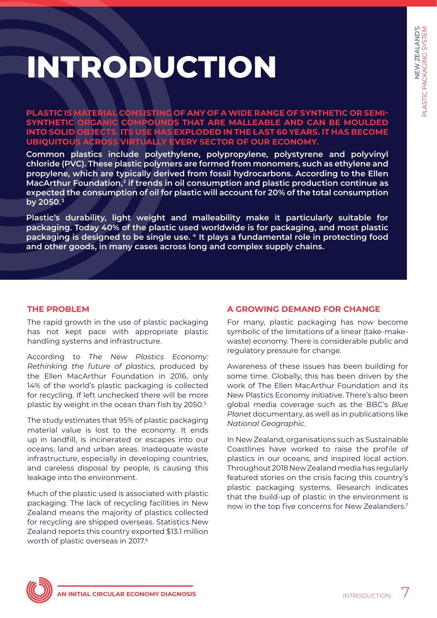# <span id="page-6-0"></span>**INTRODUCTION**

**PLASTIC IS MATERIAL CONSISTING OF ANY OF A WIDE RANGE OF SYNTHETIC OR SEMI-SYNTHETIC ORGANIC COMPOUNDS THAT ARE MALLEABLE AND CAN BE MOULDED INTO SOLID OBJECTS. ITS USE HAS EXPLODED IN THE LAST 60 YEARS. IT HAS BECOME UBIQUITOUS ACROSS VIRTUALLY EVERY SECTOR OF OUR ECONOMY.** 

**Common plastics include polyethylene, polypropylene, polystyrene and polyvinyl chloride (PVC). These plastic polymers are formed from monomers, such as ethylene and propylene, which are typically derived from fossil hydrocarbons. According to the Ellen MacArthur Foundation,2 if trends in oil consumption and plastic production continue as expected the consumption of oil for plastic will account for 20% of the total consumption by 2050.3**

**Plastic's durability, light weight and malleability make it particularly suitable for packaging. Today 40% of the plastic used worldwide is for packaging, and most plastic packaging is designed to be single use. 4 It plays a fundamental role in protecting food and other goods, in many cases across long and complex supply chains.**

## **THE PROBLEM**

The rapid growth in the use of plastic packaging has not kept pace with appropriate plastic handling systems and infrastructure.

According to *The New Plastics Economy: Rethinking the future of plastics*, produced by the Ellen MacArthur Foundation in 2016, only 14% of the world's plastic packaging is collected for recycling. If left unchecked there will be more plastic by weight in the ocean than fish by 2050.5

The study estimates that 95% of plastic packaging material value is lost to the economy. It ends up in landfill, is incinerated or escapes into our oceans, land and urban areas. Inadequate waste infrastructure, especially in developing countries, and careless disposal by people, is causing this leakage into the environment.

Much of the plastic used is associated with plastic packaging. The lack of recycling facilities in New Zealand means the majority of plastics collected for recycling are shipped overseas. Statistics New Zealand reports this country exported \$13.1 million worth of plastic overseas in 2017.6

## **A GROWING DEMAND FOR CHANGE**

For many, plastic packaging has now become symbolic of the limitations of a linear (take-makewaste) economy. There is considerable public and regulatory pressure for change.

Awareness of these issues has been building for some time. Globally, this has been driven by the work of The Ellen MacArthur Foundation and its New Plastics Economy initiative. There's also been global media coverage such as the BBC's *Blue Planet* documentary, as well as in publications like *National Geographic*.

In New Zealand, organisations such as Sustainable Coastlines have worked to raise the profile of plastics in our oceans, and inspired local action. Throughout 2018 New Zealand media has regularly featured stories on the crisis facing this country's plastic packaging systems. Research indicates that the build-up of plastic in the environment is now in the top five concerns for New Zealanders.7

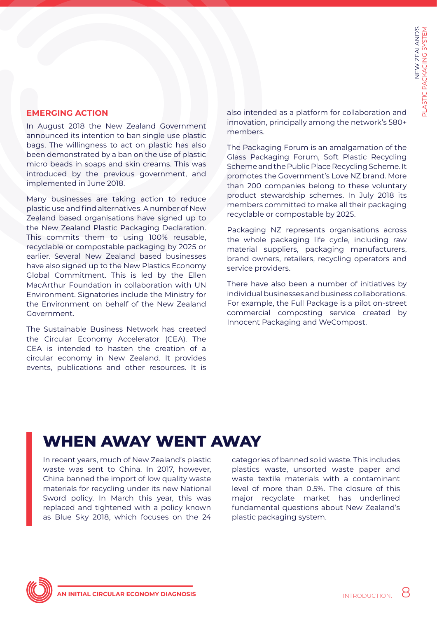## **EMERGING ACTION**

In August 2018 the New Zealand Government announced its intention to ban single use plastic bags. The willingness to act on plastic has also been demonstrated by a ban on the use of plastic micro beads in soaps and skin creams. This was introduced by the previous government, and implemented in June 2018.

Many businesses are taking action to reduce plastic use and find alternatives. A number of New Zealand based organisations have signed up to the New Zealand Plastic Packaging Declaration. This commits them to using 100% reusable, recyclable or compostable packaging by 2025 or earlier. Several New Zealand based businesses have also signed up to the New Plastics Economy Global Commitment. This is led by the Ellen MacArthur Foundation in collaboration with UN Environment. Signatories include the Ministry for the Environment on behalf of the New Zealand Government.

The Sustainable Business Network has created the Circular Economy Accelerator (CEA). The CEA is intended to hasten the creation of a circular economy in New Zealand. It provides events, publications and other resources. It is also intended as a platform for collaboration and innovation, principally among the network's 580+ members.

The Packaging Forum is an amalgamation of the Glass Packaging Forum, Soft Plastic Recycling Scheme and the Public Place Recycling Scheme. It promotes the Government's Love NZ brand. More than 200 companies belong to these voluntary product stewardship schemes. In July 2018 its members committed to make all their packaging recyclable or compostable by 2025.

Packaging NZ represents organisations across the whole packaging life cycle, including raw material suppliers, packaging manufacturers, brand owners, retailers, recycling operators and service providers.

There have also been a number of initiatives by individual businesses and business collaborations. For example, the Full Package is a pilot on-street commercial composting service created by Innocent Packaging and WeCompost.

## **WHEN AWAY WENT AWAY**

In recent years, much of New Zealand's plastic waste was sent to China. In 2017, however, China banned the import of low quality waste materials for recycling under its new National Sword policy. In March this year, this was replaced and tightened with a policy known as Blue Sky 2018, which focuses on the 24

categories of banned solid waste. This includes plastics waste, unsorted waste paper and waste textile materials with a contaminant level of more than 0.5%. The closure of this major recyclate market has underlined fundamental questions about New Zealand's plastic packaging system.

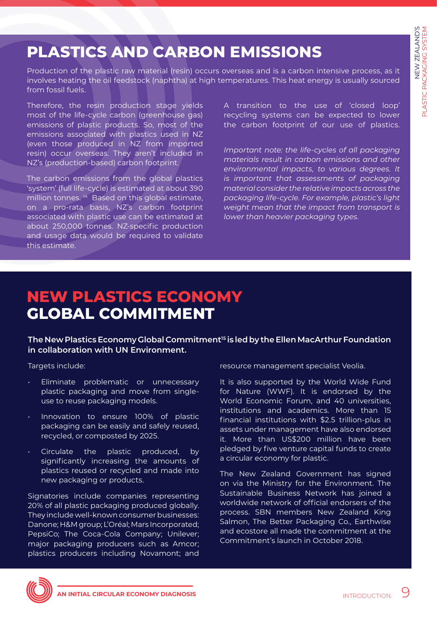## **PLASTICS AND CARBON EMISSIONS**

Production of the plastic raw material (resin) occurs overseas and is a carbon intensive process, as it involves heating the oil feedstock (naphtha) at high temperatures. This heat energy is usually sourced from fossil fuels.

Therefore, the resin production stage yields most of the life-cycle carbon (greenhouse gas) emissions of plastic products. So, most of the emissions associated with plastics used in NZ (even those produced in NZ from imported resin) occur overseas. They aren't included in NZ's (production-based) carbon footprint.

The carbon emissions from the global plastics 'system' (full life-cycle) is estimated at about 390 million tonnes.<sup>14</sup> Based on this global estimate, on a pro-rata basis, NZ's carbon footprint associated with plastic use can be estimated at about 250,000 tonnes. NZ-specific production and usage data would be required to validate this estimate.

A transition to the use of 'closed loop' recycling systems can be expected to lower the carbon footprint of our use of plastics.

*Important note: the life-cycles of all packaging materials result in carbon emissions and other environmental impacts, to various degrees. It is important that assessments of packaging material consider the relative impacts across the packaging life-cycle. For example, plastic's light weight mean that the impact from transport is lower than heavier packaging types.*

## **NEW PLASTICS ECONOMY GLOBAL COMMITMENT**

**The New Plastics Economy Global Commitment15 is led by the Ellen MacArthur Foundation in collaboration with UN Environment.**

Targets include:

- Eliminate problematic or unnecessary plastic packaging and move from singleuse to reuse packaging models.
- Innovation to ensure 100% of plastic packaging can be easily and safely reused, recycled, or composted by 2025.
- Circulate the plastic produced, by significantly increasing the amounts of plastics reused or recycled and made into new packaging or products.

Signatories include companies representing 20% of all plastic packaging produced globally. They include well-known consumer businesses: Danone; H&M group; L'Oréal; Mars Incorporated; PepsiCo; The Coca-Cola Company; Unilever; major packaging producers such as Amcor; plastics producers including Novamont; and resource management specialist Veolia.

It is also supported by the World Wide Fund for Nature (WWF). It is endorsed by the World Economic Forum, and 40 universities, institutions and academics. More than 15 financial institutions with \$2.5 trillion-plus in assets under management have also endorsed it. More than US\$200 million have been pledged by five venture capital funds to create a circular economy for plastic.

The New Zealand Government has signed on via the Ministry for the Environment. The Sustainable Business Network has joined a worldwide network of official endorsers of the process. SBN members New Zealand King Salmon, The Better Packaging Co., Earthwise and ecostore all made the commitment at the Commitment's launch in October 2018.

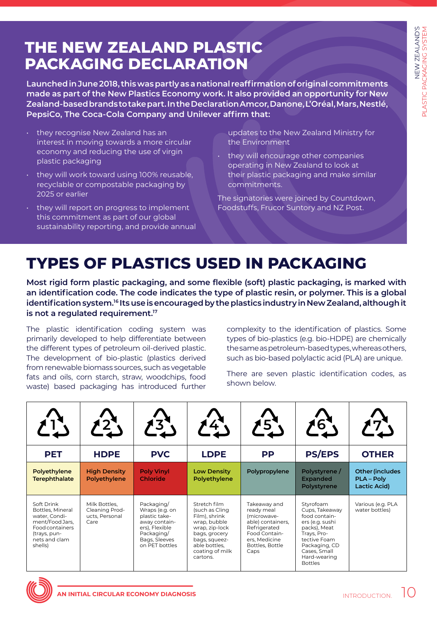# **PACKAGING DECLARATION**

- they recognise New Zealand has an interest in moving towards a more circular economy and reducing the use of virgin plastic packaging
- they will work toward using 100% reusable, recyclable or compostable packaging by 2025 or earlier
- they will report on progress to implement this commitment as part of our global sustainability reporting, and provide annual

## **TYPES OF PLASTICS USED IN PACKAGING**

|                                                                                                                                                                                                                                                                                                                                                                                                                                                                          |                                                                                                                                                                                                                                                                                                                                                                                                                             |                                      |                                    | Launched in June 2018, this was partly as a national reaffirmation of original commitments<br>made as part of the New Plastics Economy work. It also provided an opportunity for New<br>Zealand-based brands to take part. In the Declaration Amcor, Danone, L'Oréal, Mars, Nestlé,          |                                                 |                                                                                                                                                                                                                                                                                                                                                                                                |  |  |
|--------------------------------------------------------------------------------------------------------------------------------------------------------------------------------------------------------------------------------------------------------------------------------------------------------------------------------------------------------------------------------------------------------------------------------------------------------------------------|-----------------------------------------------------------------------------------------------------------------------------------------------------------------------------------------------------------------------------------------------------------------------------------------------------------------------------------------------------------------------------------------------------------------------------|--------------------------------------|------------------------------------|----------------------------------------------------------------------------------------------------------------------------------------------------------------------------------------------------------------------------------------------------------------------------------------------|-------------------------------------------------|------------------------------------------------------------------------------------------------------------------------------------------------------------------------------------------------------------------------------------------------------------------------------------------------------------------------------------------------------------------------------------------------|--|--|
| PepsiCo, The Coca-Cola Company and Unilever affirm that:<br>they recognise New Zealand has an<br>interest in moving towards a more circular<br>economy and reducing the use of virgin<br>plastic packaging<br>they will work toward using 100% reusable,<br>$\bullet$<br>recyclable or compostable packaging by<br>2025 or earlier<br>they will report on progress to implement<br>this commitment as part of our global<br>sustainability reporting, and provide annual |                                                                                                                                                                                                                                                                                                                                                                                                                             |                                      |                                    | updates to the New Zealand Ministry for<br>the Environment<br>they will encourage other companies<br>operating in New Zealand to look at<br>their plastic packaging and make similar<br>commitments.<br>The signatories were joined by Countdown,<br>Foodstuffs, Frucor Suntory and NZ Post. |                                                 |                                                                                                                                                                                                                                                                                                                                                                                                |  |  |
|                                                                                                                                                                                                                                                                                                                                                                                                                                                                          |                                                                                                                                                                                                                                                                                                                                                                                                                             |                                      |                                    | <b>TYPES OF PLASTICS USED IN PACKAGING</b>                                                                                                                                                                                                                                                   |                                                 | Most rigid form plastic packaging, and some flexible (soft) plastic packaging, is marked with<br>an identification code. The code indicates the type of plastic resin, or polymer. This is a global                                                                                                                                                                                            |  |  |
|                                                                                                                                                                                                                                                                                                                                                                                                                                                                          | is not a regulated requirement. <sup>17</sup><br>The plastic identification coding system was<br>primarily developed to help differentiate between<br>the different types of petroleum oil-derived plastic.<br>The development of bio-plastic (plastics derived<br>from renewable biomass sources, such as vegetable<br>fats and oils, corn starch, straw, woodchips, food<br>waste) based packaging has introduced further |                                      |                                    | shown below.                                                                                                                                                                                                                                                                                 |                                                 | identification system. <sup>16</sup> Its use is encouraged by the plastics industry in New Zealand, although it<br>complexity to the identification of plastics. Some<br>types of bio-plastics (e.g. bio-HDPE) are chemically<br>the same as petroleum-based types, whereas others,<br>such as bio-based polylactic acid (PLA) are unique.<br>There are seven plastic identification codes, as |  |  |
|                                                                                                                                                                                                                                                                                                                                                                                                                                                                          |                                                                                                                                                                                                                                                                                                                                                                                                                             |                                      |                                    |                                                                                                                                                                                                                                                                                              |                                                 |                                                                                                                                                                                                                                                                                                                                                                                                |  |  |
| <b>PET</b>                                                                                                                                                                                                                                                                                                                                                                                                                                                               | <b>HDPE</b>                                                                                                                                                                                                                                                                                                                                                                                                                 | <b>PVC</b>                           | <b>LDPE</b>                        | <b>PP</b>                                                                                                                                                                                                                                                                                    | <b>PS/EPS</b>                                   | <b>OTHER</b>                                                                                                                                                                                                                                                                                                                                                                                   |  |  |
| Polyethylene<br><b>Terephthalate</b>                                                                                                                                                                                                                                                                                                                                                                                                                                     | <b>High Density</b><br>Polyethylene                                                                                                                                                                                                                                                                                                                                                                                         | <b>Poly Vinyl</b><br><b>Chloride</b> | <b>Low Density</b><br>Polyethylene | Polypropylene                                                                                                                                                                                                                                                                                | Polystyrene /<br><b>Expanded</b><br>Polystyrene | Other (includes<br><b>PLA - Poly</b><br><b>Lactic Acid)</b>                                                                                                                                                                                                                                                                                                                                    |  |  |

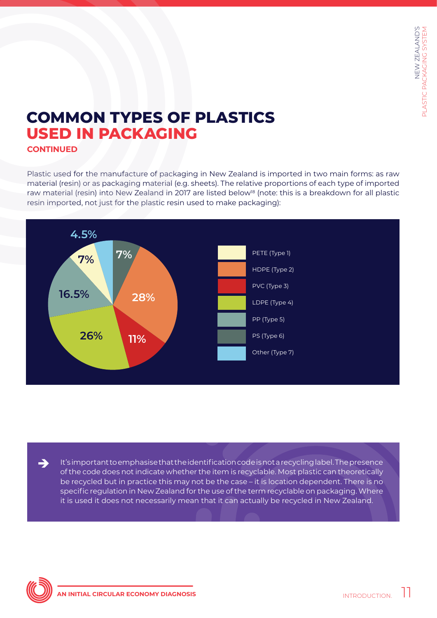## **COMMON TYPES OF PLASTICS USED IN PACKAGING**

**CONTINUED**

Plastic used for the manufacture of packaging in New Zealand is imported in two main forms: as raw material (resin) or as packaging material (e.g. sheets). The relative proportions of each type of imported raw material (resin) into New Zealand in 2017 are listed below<sup>18</sup> (note: this is a breakdown for all plastic resin imported, not just for the plastic resin used to make packaging):



It's important to emphasise that the identification code is not a recycling label. The presence of the code does not indicate whether the item is recyclable. Most plastic can theoretically be recycled but in practice this may not be the case – it is location dependent. There is no specific regulation in New Zealand for the use of the term recyclable on packaging. Where it is used it does not necessarily mean that it can actually be recycled in New Zealand.



è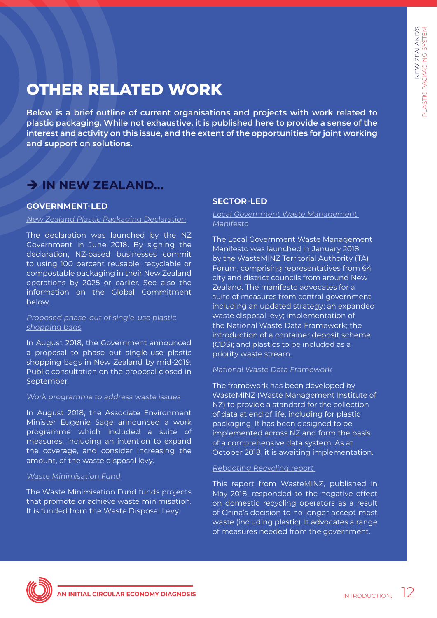## **OTHER RELATED WORK**

**Below is a brief outline of current organisations and projects with work related to plastic packaging. While not exhaustive, it is published here to provide a sense of the interest and activity on this issue, and the extent of the opportunities for joint working and support on solutions.** 

## è **IN NEW ZEALAND...**

## **GOVERNMENT-LED**

#### [New Zealand Plastic Packaging Declaration](http://www.mfe.govt.nz/news-events/new-zealand-plastic-packaging-declaration)

The declaration was launched by the NZ Government in June 2018. By signing the declaration, NZ-based businesses commit to using 100 percent reusable, recyclable or compostable packaging in their New Zealand operations by 2025 or earlier. See also the information on the Global Commitment below.

#### [Proposed phase-out of single-use plastic](http://www.mfe.govt.nz/node/24331)  [shopping bags](http://www.mfe.govt.nz/node/24331)

In August 2018, the Government announced a proposal to phase out single-use plastic shopping bags in New Zealand by mid-2019. Public consultation on the proposal closed in September.

#### [Work programme to address waste issues](https://www.beehive.govt.nz/release/waste-work-programme-tackle-tough-problems)

In August 2018, the Associate Environment Minister Eugenie Sage announced a work programme which included a suite of measures, including an intention to expand the coverage, and consider increasing the amount, of the waste disposal levy.

#### [Waste Minimisation Fund](http://www.mfe.govt.nz/more/funding/waste-minimisation-fund)

The Waste Minimisation Fund funds projects that promote or achieve waste minimisation. It is funded from the Waste Disposal Levy.

## **SECTOR-LED**

[Local Government Waste Management](https://www.wasteminz.org.nz/2018/01/local-government-waste-management-manifesto-released/)  [Manifesto](https://www.wasteminz.org.nz/2018/01/local-government-waste-management-manifesto-released/) 

The Local Government Waste Management Manifesto was launched in January 2018 by the WasteMINZ Territorial Authority (TA) Forum, comprising representatives from 64 city and district councils from around New Zealand. The manifesto advocates for a suite of measures from central government, including an updated strategy; an expanded waste disposal levy; implementation of the National Waste Data Framework; the introduction of a container deposit scheme (CDS); and plastics to be included as a priority waste stream.

#### [National Waste Data Framework](https://www.wasteminz.org.nz/projects/national-waste-data-framework-project/)

The framework has been developed by WasteMINZ (Waste Management Institute of NZ) to provide a standard for the collection of data at end of life, including for plastic packaging. It has been designed to be implemented across NZ and form the basis of a comprehensive data system. As at October 2018, it is awaiting implementation.

## [Rebooting Recycling report](https://www.wasteminz.org.nz/2018/05/government-action-needed-to-avert-recycling-crisis/)

This report from WasteMINZ, published in May 2018, responded to the negative effect on domestic recycling operators as a result of China's decision to no longer accept most waste (including plastic). It advocates a range of measures needed from the government.

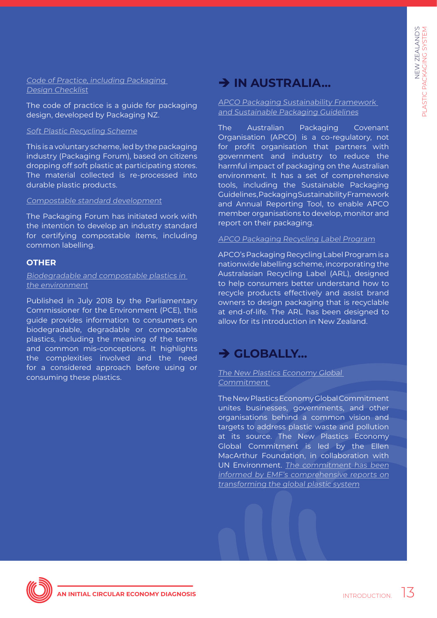[Code of Practice, including Packaging](http://www.packaging.org.nz/page/15/code-of-practice)  [Design Checklist](http://www.packaging.org.nz/page/15/code-of-practice)

The code of practice is a guide for packaging design, developed by Packaging NZ.

#### [Soft Plastic Recycling Scheme](https://www.recycling.kiwi.nz/solutions/soft-plastics/)

This is a voluntary scheme, led by the packaging industry (Packaging Forum), based on citizens dropping off soft plastic at participating stores. The material collected is re-processed into durable plastic products.

#### [Compostable standard development](https://www.recycling.kiwi.nz/campaigns/compostable-coffee-cups/)

The Packaging Forum has initiated work with the intention to develop an industry standard for certifying compostable items, including common labelling.

#### **OTHER**

[Biodegradable and compostable plastics in](https://www.pce.parliament.nz/publications/biodegradable-and-compostable-plastics-in-the-environment)  [the environment](https://www.pce.parliament.nz/publications/biodegradable-and-compostable-plastics-in-the-environment)

Published in July 2018 by the Parliamentary Commissioner for the Environment (PCE), this guide provides information to consumers on biodegradable, degradable or compostable plastics, including the meaning of the terms and common mis-conceptions. It highlights the complexities involved and the need for a considered approach before using or consuming these plastics.

## $→$  **IN AUSTRALIA...**

[APCO Packaging Sustainability Framework](https://www.packagingcovenant.org.au/who-we-are/what-we-do)  [and Sustainable Packaging Guidelines](https://www.packagingcovenant.org.au/who-we-are/what-we-do)

The Australian Packaging Covenant Organisation (APCO) is a co-regulatory, not for profit organisation that partners with government and industry to reduce the harmful impact of packaging on the Australian environment. It has a set of comprehensive tools, including the Sustainable Packaging Guidelines, Packaging Sustainability Framework and Annual Reporting Tool, to enable APCO member organisations to develop, monitor and report on their packaging.

#### [APCO Packaging Recycling Label Program](https://www.packagingcovenant.org.au/who-we-are/packaging-recycling-label-program)

APCO's Packaging Recycling Label Program is a nationwide labelling scheme, incorporating the Australasian Recycling Label (ARL), designed to help consumers better understand how to recycle products effectively and assist brand owners to design packaging that is recyclable at end-of-life. The ARL has been designed to allow for its introduction in New Zealand.

## $→$  **GLOBALLY...**

#### [The New Plastics Economy Global](https://newplasticseconomy.org/)  [Commitment](https://newplasticseconomy.org/)

The New Plastics Economy Global Commitment unites businesses, governments, and other organisations behind a common vision and targets to address plastic waste and pollution at its source. The New Plastics Economy Global Commitment is led by the Ellen MacArthur Foundation, in collaboration with UN Environment. [The commitment has been](https://newplasticseconomy.org/about/publications) [informed by EMF's comprehensive reports on](https://newplasticseconomy.org/about/publications) [transforming the global plastic system](https://newplasticseconomy.org/about/publications)

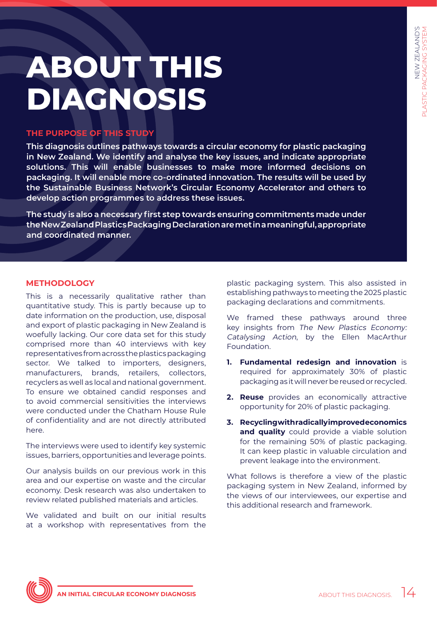# <span id="page-13-0"></span>**ABOUT THIS DIAGNOSIS**

## **THE PURPOSE OF THIS STUDY**

**This diagnosis outlines pathways towards a circular economy for plastic packaging in New Zealand. We identify and analyse the key issues, and indicate appropriate solutions. This will enable businesses to make more informed decisions on packaging. It will enable more co-ordinated innovation. The results will be used by the Sustainable Business Network's Circular Economy Accelerator and others to develop action programmes to address these issues.** 

**The study is also a necessary first step towards ensuring commitments made under the New Zealand Plastics Packaging Declaration are met in a meaningful, appropriate and coordinated manner.** 

## **METHODOLOGY**

This is a necessarily qualitative rather than quantitative study. This is partly because up to date information on the production, use, disposal and export of plastic packaging in New Zealand is woefully lacking. Our core data set for this study comprised more than 40 interviews with key representatives from across the plastics packaging sector. We talked to importers, designers, manufacturers, brands, retailers, collectors, recyclers as well as local and national government. To ensure we obtained candid responses and to avoid commercial sensitivities the interviews were conducted under the Chatham House Rule of confidentiality and are not directly attributed here.

The interviews were used to identify key systemic issues, barriers, opportunities and leverage points.

Our analysis builds on our previous work in this area and our expertise on waste and the circular economy. Desk research was also undertaken to review related published materials and articles.

We validated and built on our initial results at a workshop with representatives from the plastic packaging system. This also assisted in establishing pathways to meeting the 2025 plastic packaging declarations and commitments.

We framed these pathways around three key insights from The New Plastics Economy: Catalysing Action, by the Ellen MacArthur Foundation.

- **1. Fundamental redesign and innovation** is required for approximately 30% of plastic packaging as it will never be reused or recycled.
- **2. Reuse** provides an economically attractive opportunity for 20% of plastic packaging.
- **3. Recycling with radically improved economics**  and quality could provide a viable solution for the remaining 50% of plastic packaging. It can keep plastic in valuable circulation and prevent leakage into the environment.

What follows is therefore a view of the plastic packaging system in New Zealand, informed by the views of our interviewees, our expertise and this additional research and framework.

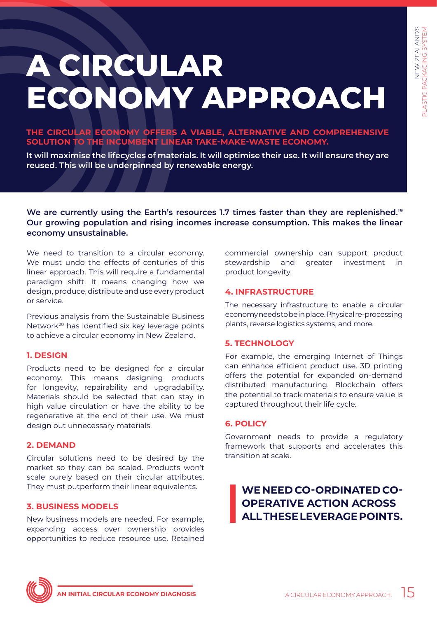# <span id="page-14-0"></span>**A CIRCULAR ECONOMY APPROACH**

**THE CIRCULAR ECONOMY OFFERS A VIABLE, ALTERNATIVE AND COMPREHENSIVE SOLUTION TO THE INCUMBENT LINEAR TAKE-MAKE-WASTE ECONOMY.** 

**It will maximise the lifecycles of materials. It will optimise their use. It will ensure they are reused. This will be underpinned by renewable energy.** 

We are currently using the Earth's resources 1.7 times faster than they are replenished.<sup>19</sup> **Our growing population and rising incomes increase consumption. This makes the linear economy unsustainable.**

We need to transition to a circular economy. We must undo the effects of centuries of this linear approach. This will require a fundamental paradigm shift. It means changing how we design, produce, distribute and use every product or service.

Previous analysis from the Sustainable Business Network20 has identified six key leverage points to achieve a circular economy in New Zealand.

#### **1. DESIGN**

Products need to be designed for a circular economy. This means designing products for longevity, repairability and upgradability. Materials should be selected that can stay in high value circulation or have the ability to be regenerative at the end of their use. We must design out unnecessary materials.

#### **2. DEMAND**

Circular solutions need to be desired by the market so they can be scaled. Products won't scale purely based on their circular attributes. They must outperform their linear equivalents.

## **3. BUSINESS MODELS**

New business models are needed. For example, expanding access over ownership provides opportunities to reduce resource use. Retained

commercial ownership can support product stewardship and greater investment in product longevity.

#### **4. INFRASTRUCTURE**

The necessary infrastructure to enable a circular economy needs to be in place. Physical re-processing plants, reverse logistics systems, and more.

## **5. TECHNOLOGY**

For example, the emerging Internet of Things can enhance efficient product use. 3D printing offers the potential for expanded on-demand distributed manufacturing. Blockchain offers the potential to track materials to ensure value is captured throughout their life cycle.

## **6. POLICY**

Government needs to provide a regulatory framework that supports and accelerates this transition at scale.

**WE NEED CO-ORDINATED CO-OPERATIVE ACTION ACROSS ALL THESE LEVERAGE POINTS.** 

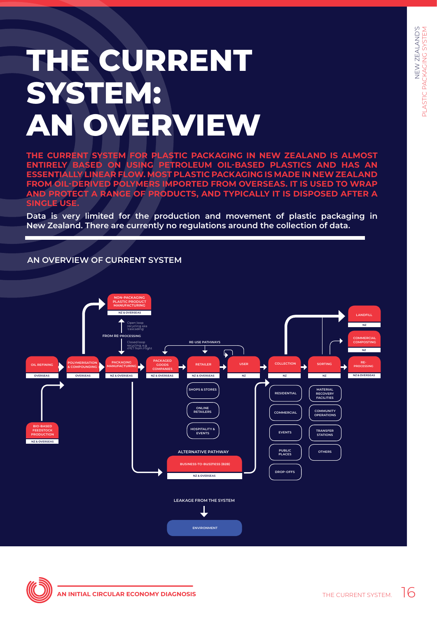# <span id="page-15-0"></span>**THE CURRENT SYSTEM: AN OVERVIEW**

**THE CURRENT SYSTEM FOR PLASTIC PACKAGING IN NEW ZEALAND IS ALMOST ENTIRELY BASED ON USING PETROLEUM OIL-BASED PLASTICS AND HAS AN ESSENTIALLY LINEAR FLOW. MOST PLASTIC PACKAGING IS MADE IN NEW ZEALAND FROM OIL-DERIVED POLYMERS IMPORTED FROM OVERSEAS. IT IS USED TO WRAP AND PROTECT A RANGE OF PRODUCTS, AND TYPICALLY IT IS DISPOSED AFTER A SINGLE USE.**

**Data is very limited for the production and movement of plastic packaging in New Zealand. There are currently no regulations around the collection of data.**

## **AN OVERVIEW OF CURRENT SYSTEM**



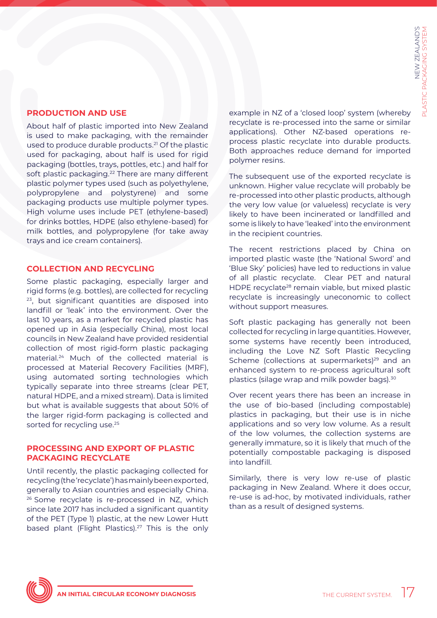## **PRODUCTION AND USE**

About half of plastic imported into New Zealand is used to make packaging, with the remainder used to produce durable products.<sup>21</sup> Of the plastic used for packaging, about half is used for rigid packaging (bottles, trays, pottles, etc.) and half for soft plastic packaging.<sup>22</sup> There are many different plastic polymer types used (such as polyethylene, polypropylene and polystyrene) and some packaging products use multiple polymer types. High volume uses include PET (ethylene-based) for drinks bottles, HDPE (also ethylene-based) for milk bottles, and polypropylene (for take away trays and ice cream containers).

## **COLLECTION AND RECYCLING**

Some plastic packaging, especially larger and rigid forms (e.g. bottles), are collected for recycling <sup>23</sup>, but significant quantities are disposed into landfill or 'leak' into the environment. Over the last 10 years, as a market for recycled plastic has opened up in Asia (especially China), most local councils in New Zealand have provided residential collection of most rigid-form plastic packaging material.24 Much of the collected material is processed at Material Recovery Facilities (MRF), using automated sorting technologies which typically separate into three streams (clear PET, natural HDPE, and a mixed stream). Data is limited but what is available suggests that about 50% of the larger rigid-form packaging is collected and sorted for recycling use.<sup>25</sup>

## **PROCESSING AND EXPORT OF PLASTIC PACKAGING RECYCLATE**

Until recently, the plastic packaging collected for recycling (the 'recyclate') has mainly been exported, generally to Asian countries and especially China. 26 Some recyclate is re-processed in NZ, which since late 2017 has included a significant quantity of the PET (Type 1) plastic, at the new Lower Hutt based plant (Flight Plastics).<sup>27</sup> This is the only

example in NZ of a 'closed loop' system (whereby recyclate is re-processed into the same or similar applications). Other NZ-based operations reprocess plastic recyclate into durable products. Both approaches reduce demand for imported polymer resins.

The subsequent use of the exported recyclate is unknown. Higher value recyclate will probably be re-processed into other plastic products, although the very low value (or valueless) recyclate is very likely to have been incinerated or landfilled and some is likely to have 'leaked' into the environment in the recipient countries.

The recent restrictions placed by China on imported plastic waste (the 'National Sword' and 'Blue Sky' policies) have led to reductions in value of all plastic recyclate. Clear PET and natural HDPE recyclate<sup>28</sup> remain viable, but mixed plastic recyclate is increasingly uneconomic to collect without support measures.

Soft plastic packaging has generally not been collected for recycling in large quantities. However, some systems have recently been introduced, including the Love NZ Soft Plastic Recycling Scheme (collections at supermarkets)<sup>29</sup> and an enhanced system to re-process agricultural soft plastics (silage wrap and milk powder bags).<sup>30</sup>

Over recent years there has been an increase in the use of bio-based (including compostable) plastics in packaging, but their use is in niche applications and so very low volume. As a result of the low volumes, the collection systems are generally immature, so it is likely that much of the potentially compostable packaging is disposed into landfill.

Similarly, there is very low re-use of plastic packaging in New Zealand. Where it does occur, re-use is ad-hoc, by motivated individuals, rather than as a result of designed systems.

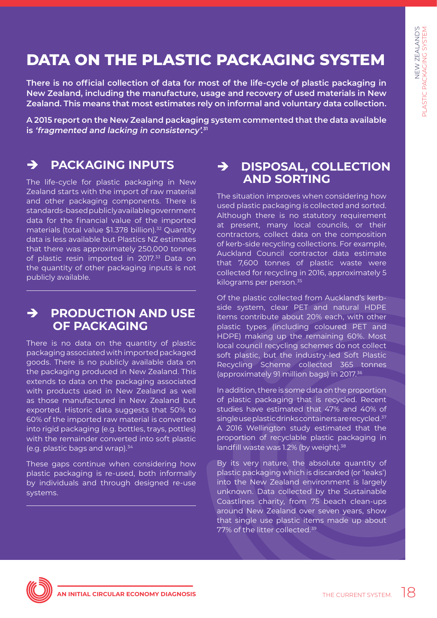## **DATA ON THE PLASTIC PACKAGING SYSTEM**

**There is no official collection of data for most of the life-cycle of plastic packaging in New Zealand, including the manufacture, usage and recovery of used materials in New Zealand. This means that most estimates rely on informal and voluntary data collection.**

**A 2015 report on the New Zealand packaging system commented that the data available is 'fragmented and lacking in consistency'. 31**

## è **PACKAGING INPUTS**

The life-cycle for plastic packaging in New Zealand starts with the import of raw material and other packaging components. There is standards-based publicly available government data for the financial value of the imported materials (total value \$1.378 billion).<sup>32</sup> Ouantity data is less available but Plastics NZ estimates that there was approximately 250,000 tonnes of plastic resin imported in 2017.<sup>33</sup> Data on the quantity of other packaging inputs is not publicly available.

## è **PRODUCTION AND USE OF PACKAGING**

There is no data on the quantity of plastic packaging associated with imported packaged goods. There is no publicly available data on the packaging produced in New Zealand. This extends to data on the packaging associated with products used in New Zealand as well as those manufactured in New Zealand but exported. Historic data suggests that 50% to 60% of the imported raw material is converted into rigid packaging (e.g. bottles, trays, pottles) with the remainder converted into soft plastic (e.g. plastic bags and wrap).34

These gaps continue when considering how plastic packaging is re-used, both informally by individuals and through designed re-use systems.

## è **DISPOSAL, COLLECTION AND SORTING**

The situation improves when considering how used plastic packaging is collected and sorted. Although there is no statutory requirement at present, many local councils, or their contractors, collect data on the composition of kerb-side recycling collections. For example, Auckland Council contractor data estimate that 7,600 tonnes of plastic waste were collected for recycling in 2016, approximately 5 kilograms per person.35

Of the plastic collected from Auckland's kerbside system, clear PET and natural HDPE items contribute about 20% each, with other plastic types (including coloured PET and HDPE) making up the remaining 60%. Most local council recycling schemes do not collect soft plastic, but the industry-led Soft Plastic Recycling Scheme collected 365 tonnes (approximately 91 million bags) in 2017.36

In addition, there is some data on the proportion of plastic packaging that is recycled. Recent studies have estimated that 47% and 40% of single use plastic drinks containers are recycled.<sup>37</sup> A 2016 Wellington study estimated that the proportion of recyclable plastic packaging in landfill waste was 1.2% (by weight).<sup>38</sup>

By its very nature, the absolute quantity of plastic packaging which is discarded (or 'leaks') into the New Zealand environment is largely unknown. Data collected by the Sustainable Coastlines charity, from 75 beach clean-ups around New Zealand over seven years, show that single use plastic items made up about 77% of the litter collected.<sup>39</sup>

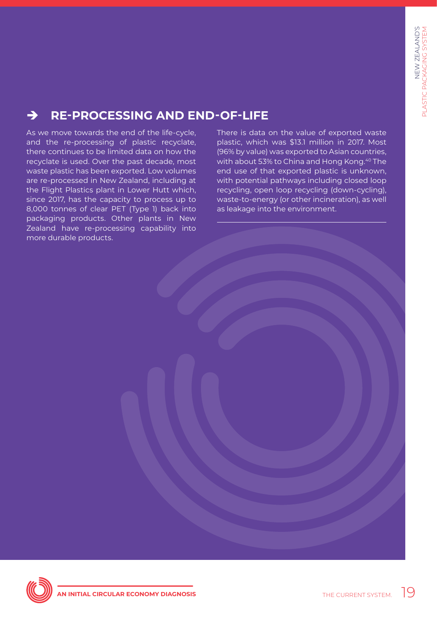## è **RE-PROCESSING AND END-OF-LIFE**

As we move towards the end of the life-cycle, and the re-processing of plastic recyclate, there continues to be limited data on how the recyclate is used. Over the past decade, most waste plastic has been exported. Low volumes are re-processed in New Zealand, including at the Flight Plastics plant in Lower Hutt which, since 2017, has the capacity to process up to 8,000 tonnes of clear PET (Type 1) back into packaging products. Other plants in New Zealand have re-processing capability into more durable products.

There is data on the value of exported waste plastic, which was \$13.1 million in 2017. Most (96% by value) was exported to Asian countries, with about 53% to China and Hong Kong.<sup>40</sup> The end use of that exported plastic is unknown, with potential pathways including closed loop recycling, open loop recycling (down-cycling), waste-to-energy (or other incineration), as well as leakage into the environment.

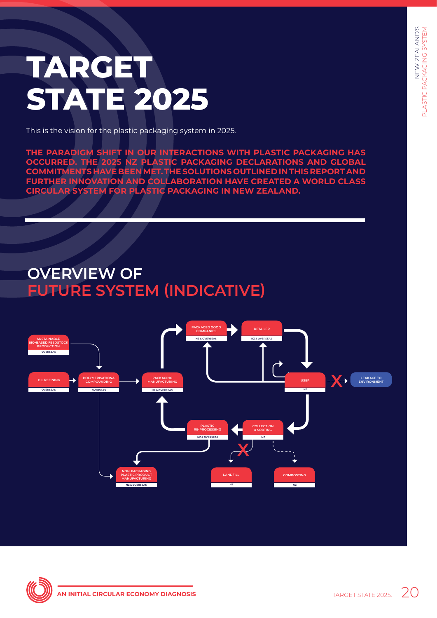# <span id="page-19-0"></span>**TARGET STATE 2025**

This is the vision for the plastic packaging system in 2025.

**THE PARADIGM SHIFT IN OUR INTERACTIONS WITH PLASTIC PACKAGING HAS OCCURRED. THE 2025 NZ PLASTIC PACKAGING DECLARATIONS AND GLOBAL COMMITMENTS HAVE BEEN MET. THE SOLUTIONS OUTLINED IN THIS REPORT AND FURTHER INNOVATION AND COLLABORATION HAVE CREATED A WORLD CLASS CIRCULAR SYSTEM FOR PLASTIC PACKAGING IN NEW ZEALAND.** 

## **OVERVIEW OF FUTURE SYSTEM (INDICATIVE)**



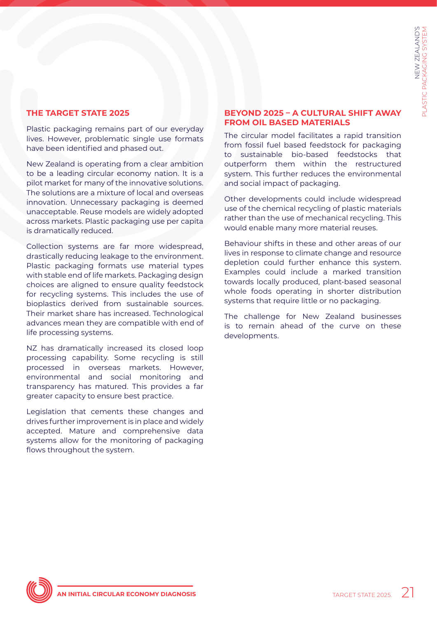## **THE TARGET STATE 2025**

Plastic packaging remains part of our everyday lives. However, problematic single use formats have been identified and phased out.

New Zealand is operating from a clear ambition to be a leading circular economy nation. It is a pilot market for many of the innovative solutions. The solutions are a mixture of local and overseas innovation. Unnecessary packaging is deemed unacceptable. Reuse models are widely adopted across markets. Plastic packaging use per capita is dramatically reduced.

Collection systems are far more widespread, drastically reducing leakage to the environment. Plastic packaging formats use material types with stable end of life markets. Packaging design choices are aligned to ensure quality feedstock for recycling systems. This includes the use of bioplastics derived from sustainable sources. Their market share has increased. Technological advances mean they are compatible with end of life processing systems.

NZ has dramatically increased its closed loop processing capability. Some recycling is still processed in overseas markets. However, environmental and social monitoring and transparency has matured. This provides a far greater capacity to ensure best practice.

Legislation that cements these changes and drives further improvement is in place and widely accepted. Mature and comprehensive data systems allow for the monitoring of packaging flows throughout the system.

## **BEYOND 2025 – A CULTURAL SHIFT AWAY FROM OIL BASED MATERIALS**

The circular model facilitates a rapid transition from fossil fuel based feedstock for packaging to sustainable bio-based feedstocks that outperform them within the restructured system. This further reduces the environmental and social impact of packaging.

Other developments could include widespread use of the chemical recycling of plastic materials rather than the use of mechanical recycling. This would enable many more material reuses.

Behaviour shifts in these and other areas of our lives in response to climate change and resource depletion could further enhance this system. Examples could include a marked transition towards locally produced, plant-based seasonal whole foods operating in shorter distribution systems that require little or no packaging.

The challenge for New Zealand businesses is to remain ahead of the curve on these developments.

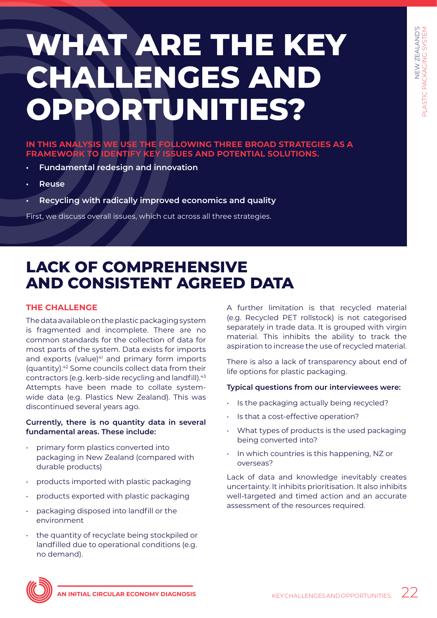# <span id="page-21-0"></span>**WHAT ARE THE KEY CHALLENGES AND OPPORTUNITIES?**

## **IN THIS ANALYSIS WE USE THE FOLLOWING THREE BROAD STRATEGIES AS A FRAMEWORK TO IDENTIFY KEY ISSUES AND POTENTIAL SOLUTIONS.**

- **• Fundamental redesign and innovation**
- **• Reuse**
- **• Recycling with radically improved economics and quality**

First, we discuss overall issues, which cut across all three strategies.

## **LACK OF COMPREHENSIVE AND CONSISTENT AGREED DATA**

## **THE CHALLENGE**

The data available on the plastic packaging system is fragmented and incomplete. There are no common standards for the collection of data for most parts of the system. Data exists for imports and exports (value)<sup>41</sup> and primary form imports (quantity).42 Some councils collect data from their contractors (e.g. kerb-side recycling and landfill).43 Attempts have been made to collate systemwide data (e.g. Plastics New Zealand). This was discontinued several years ago.

## **Currently, there is no quantity data in several fundamental areas. These include:**

- primary form plastics converted into packaging in New Zealand (compared with durable products)
- products imported with plastic packaging
- products exported with plastic packaging
- packaging disposed into landfill or the environment
- the quantity of recyclate being stockpiled or landfilled due to operational conditions (e.g. no demand).

A further limitation is that recycled material (e.g. Recycled PET rollstock) is not categorised separately in trade data. It is grouped with virgin material. This inhibits the ability to track the aspiration to increase the use of recycled material.

There is also a lack of transparency about end of life options for plastic packaging.

## **Typical questions from our interviewees were:**

- Is the packaging actually being recycled?
- Is that a cost-effective operation?
- What types of products is the used packaging being converted into?
- In which countries is this happening, NZ or overseas?

Lack of data and knowledge inevitably creates uncertainty. It inhibits prioritisation. It also inhibits well-targeted and timed action and an accurate assessment of the resources required.

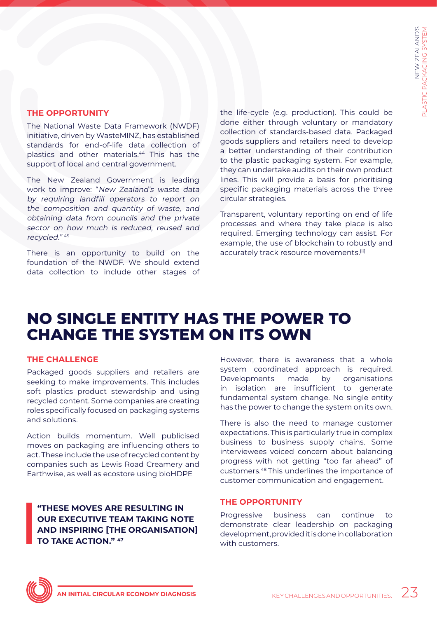## **THE OPPORTUNITY**

The National Waste Data Framework (NWDF) initiative, driven by WasteMINZ, has established standards for end-of-life data collection of plastics and other materials.44 This has the support of local and central government.

The New Zealand Government is leading work to improve: "New Zealand's waste data by requiring landfill operators to report on the composition and quantity of waste, and obtaining data from councils and the private sector on how much is reduced, reused and recycled." <sup>45</sup>

There is an opportunity to build on the foundation of the NWDF. We should extend data collection to include other stages of the life-cycle (e.g. production). This could be done either through voluntary or mandatory collection of standards-based data. Packaged goods suppliers and retailers need to develop a better understanding of their contribution to the plastic packaging system. For example, they can undertake audits on their own product lines. This will provide a basis for prioritising specific packaging materials across the three circular strategies.

Transparent, voluntary reporting on end of life processes and where they take place is also required. Emerging technology can assist. For example, the use of blockchain to robustly and accurately track resource movements.[ii]

## **NO SINGLE ENTITY HAS THE POWER TO CHANGE THE SYSTEM ON ITS OWN**

## **THE CHALLENGE**

Packaged goods suppliers and retailers are seeking to make improvements. This includes soft plastics product stewardship and using recycled content. Some companies are creating roles specifically focused on packaging systems and solutions.

Action builds momentum. Well publicised moves on packaging are influencing others to act. These include the use of recycled content by companies such as Lewis Road Creamery and Earthwise, as well as ecostore using bioHDPE

**"THESE MOVES ARE RESULTING IN OUR EXECUTIVE TEAM TAKING NOTE AND INSPIRING [THE ORGANISATION] TO TAKE ACTION." 47**

However, there is awareness that a whole system coordinated approach is required. Developments made by organisations in isolation are insufficient to generate fundamental system change. No single entity has the power to change the system on its own.

There is also the need to manage customer expectations. This is particularly true in complex business to business supply chains. Some interviewees voiced concern about balancing progress with not getting "too far ahead" of customers.48 This underlines the importance of customer communication and engagement.

## **THE OPPORTUNITY**

Progressive business can continue to demonstrate clear leadership on packaging development, provided it is done in collaboration with customers.

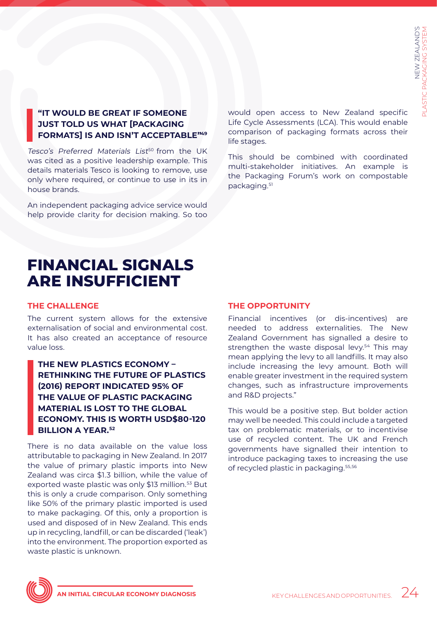## **"IT WOULD BE GREAT IF SOMEONE JUST TOLD US WHAT [PACKAGING FORMATS] IS AND ISN'T ACCEPTABLE"49**

Tesco's Preferred Materials List<sup>50</sup> from the UK was cited as a positive leadership example. This details materials Tesco is looking to remove, use only where required, or continue to use in its in house brands.

An independent packaging advice service would help provide clarity for decision making. So too would open access to New Zealand specific Life Cycle Assessments (LCA). This would enable comparison of packaging formats across their life stages.

This should be combined with coordinated multi-stakeholder initiatives. An example is the Packaging Forum's work on compostable packaging.51

## **FINANCIAL SIGNALS ARE INSUFFICIENT**

## **THE CHALLENGE**

The current system allows for the extensive externalisation of social and environmental cost. It has also created an acceptance of resource value loss.

## **THE NEW PLASTICS ECONOMY – RETHINKING THE FUTURE OF PLASTICS (2016) REPORT INDICATED 95% OF THE VALUE OF PLASTIC PACKAGING MATERIAL IS LOST TO THE GLOBAL ECONOMY. THIS IS WORTH USD\$80-120 BILLION A YEAR.52**

There is no data available on the value loss attributable to packaging in New Zealand. In 2017 the value of primary plastic imports into New Zealand was circa \$1.3 billion, while the value of exported waste plastic was only \$13 million.<sup>53</sup> But this is only a crude comparison. Only something like 50% of the primary plastic imported is used to make packaging. Of this, only a proportion is used and disposed of in New Zealand. This ends up in recycling, landfill, or can be discarded ('leak') into the environment. The proportion exported as waste plastic is unknown.

## **THE OPPORTUNITY**

Financial incentives (or dis-incentives) are needed to address externalities. The New Zealand Government has signalled a desire to strengthen the waste disposal levy.<sup>54</sup> This may mean applying the levy to all landfills. It may also include increasing the levy amount. Both will enable greater investment in the required system changes, such as infrastructure improvements and R&D projects."

This would be a positive step. But bolder action may well be needed. This could include a targeted tax on problematic materials, or to incentivise use of recycled content. The UK and French governments have signalled their intention to introduce packaging taxes to increasing the use of recycled plastic in packaging.55,56

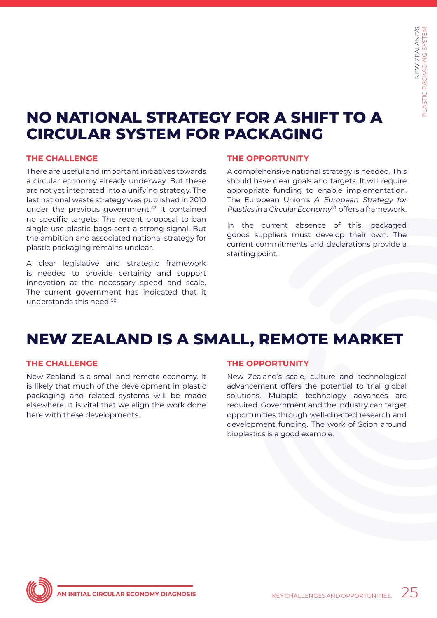## **NO NATIONAL STRATEGY FOR A SHIFT TO A CIRCULAR SYSTEM FOR PACKAGING**

## **THE CHALLENGE**

There are useful and important initiatives towards a circular economy already underway. But these are not yet integrated into a unifying strategy. The last national waste strategy was published in 2010 under the previous government.<sup>57</sup> It contained no specific targets. The recent proposal to ban single use plastic bags sent a strong signal. But the ambition and associated national strategy for plastic packaging remains unclear.

A clear legislative and strategic framework is needed to provide certainty and support innovation at the necessary speed and scale. The current government has indicated that it understands this need.<sup>58</sup>

## **THE OPPORTUNITY**

A comprehensive national strategy is needed. This should have clear goals and targets. It will require appropriate funding to enable implementation. The European Union's A European Strategy for Plastics in a Circular Econom $v^{59}$  offers a framework.

In the current absence of this, packaged goods suppliers must develop their own. The current commitments and declarations provide a starting point.

## **NEW ZEALAND IS A SMALL, REMOTE MARKET**

## **THE CHALLENGE**

New Zealand is a small and remote economy. It is likely that much of the development in plastic packaging and related systems will be made elsewhere. It is vital that we align the work done here with these developments.

## **THE OPPORTUNITY**

New Zealand's scale, culture and technological advancement offers the potential to trial global solutions. Multiple technology advances are required. Government and the industry can target opportunities through well-directed research and development funding. The work of Scion around bioplastics is a good example.

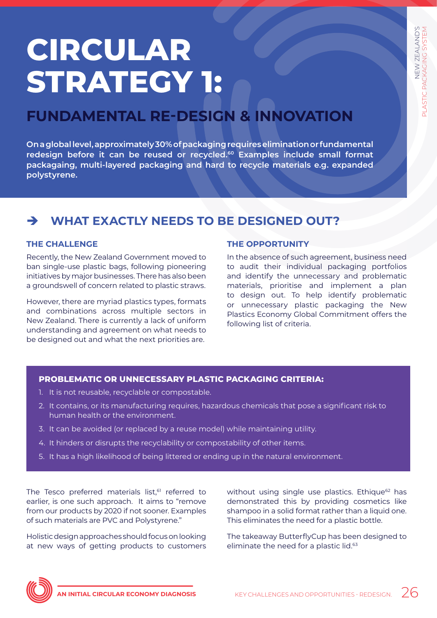# <span id="page-25-0"></span>**CIRCULAR STRATEGY 1:**

## **FUNDAMENTAL RE-DESIGN & INNOVATION**

**On a global level, approximately 30% of packaging requires elimination or fundamental redesign before it can be reused or recycled.60 Examples include small format packagaing, multi-layered packaging and hard to recycle materials e.g. expanded polystyrene.**

## è **WHAT EXACTLY NEEDS TO BE DESIGNED OUT?**

## **THE CHALLENGE**

Recently, the New Zealand Government moved to ban single-use plastic bags, following pioneering initiatives by major businesses. There has also been a groundswell of concern related to plastic straws.

However, there are myriad plastics types, formats and combinations across multiple sectors in New Zealand. There is currently a lack of uniform understanding and agreement on what needs to be designed out and what the next priorities are.

## **THE OPPORTUNITY**

In the absence of such agreement, business need to audit their individual packaging portfolios and identify the unnecessary and problematic materials, prioritise and implement a plan to design out. To help identify problematic or unnecessary plastic packaging the New Plastics Economy Global Commitment offers the following list of criteria.

## **PROBLEMATIC OR UNNECESSARY PLASTIC PACKAGING CRITERIA:**

- 1. It is not reusable, recyclable or compostable.
- 2. It contains, or its manufacturing requires, hazardous chemicals that pose a significant risk to human health or the environment.
- 3. It can be avoided (or replaced by a reuse model) while maintaining utility.
- 4. It hinders or disrupts the recyclability or compostability of other items.
- 5. It has a high likelihood of being littered or ending up in the natural environment.

The Tesco preferred materials list,<sup>61</sup> referred to earlier, is one such approach. It aims to "remove from our products by 2020 if not sooner. Examples of such materials are PVC and Polystyrene."

Holistic design approaches should focus on looking at new ways of getting products to customers without using single use plastics. Ethique<sup>62</sup> has demonstrated this by providing cosmetics like shampoo in a solid format rather than a liquid one. This eliminates the need for a plastic bottle.

The takeaway ButterflyCup has been designed to eliminate the need for a plastic lid.<sup>63</sup>

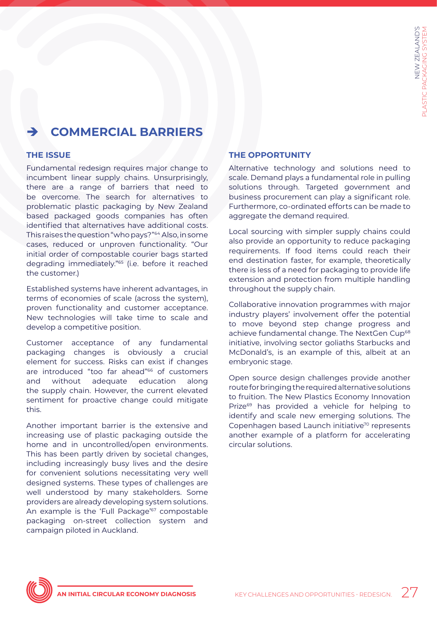## è **COMMERCIAL BARRIERS**

## **THE ISSUE**

Fundamental redesign requires major change to incumbent linear supply chains. Unsurprisingly, there are a range of barriers that need to be overcome. The search for alternatives to problematic plastic packaging by New Zealand based packaged goods companies has often identified that alternatives have additional costs. This raises the question "who pays?"64 Also, in some cases, reduced or unproven functionality. "Our initial order of compostable courier bags started degrading immediately."65 (i.e. before it reached the customer.)

Established systems have inherent advantages, in terms of economies of scale (across the system), proven functionality and customer acceptance. New technologies will take time to scale and develop a competitive position.

Customer acceptance of any fundamental packaging changes is obviously a crucial element for success. Risks can exist if changes are introduced "too far ahead"66 of customers and without adequate education along the supply chain. However, the current elevated sentiment for proactive change could mitigate this.

Another important barrier is the extensive and increasing use of plastic packaging outside the home and in uncontrolled/open environments. This has been partly driven by societal changes, including increasingly busy lives and the desire for convenient solutions necessitating very well designed systems. These types of challenges are well understood by many stakeholders. Some providers are already developing system solutions. An example is the 'Full Package'<sup>67</sup> compostable packaging on-street collection system and campaign piloted in Auckland.

## **THE OPPORTUNITY**

Alternative technology and solutions need to scale. Demand plays a fundamental role in pulling solutions through. Targeted government and business procurement can play a significant role. Furthermore, co-ordinated efforts can be made to aggregate the demand required.

Local sourcing with simpler supply chains could also provide an opportunity to reduce packaging requirements. If food items could reach their end destination faster, for example, theoretically there is less of a need for packaging to provide life extension and protection from multiple handling throughout the supply chain.

Collaborative innovation programmes with major industry players' involvement offer the potential to move beyond step change progress and achieve fundamental change. The NextGen Cup<sup>68</sup> initiative, involving sector goliaths Starbucks and McDonald's, is an example of this, albeit at an embryonic stage.

Open source design challenges provide another route for bringing the required alternative solutions to fruition. The New Plastics Economy Innovation Prize<sup>69</sup> has provided a vehicle for helping to identify and scale new emerging solutions. The Copenhagen based Launch initiative<sup>70</sup> represents another example of a platform for accelerating circular solutions.

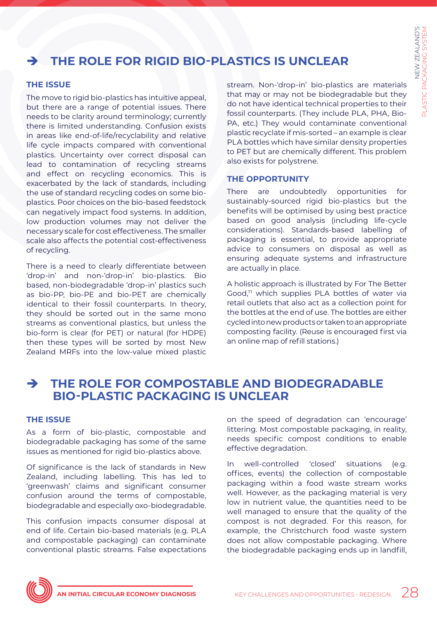## è **THE ROLE FOR RIGID BIO-PLASTICS IS UNCLEAR**

## **THE ISSUE**

The move to rigid bio-plastics has intuitive appeal, but there are a range of potential issues. There needs to be clarity around terminology; currently there is limited understanding. Confusion exists in areas like end-of-life/recyclability and relative life cycle impacts compared with conventional plastics. Uncertainty over correct disposal can lead to contamination of recycling streams and effect on recycling economics. This is exacerbated by the lack of standards, including the use of standard recycling codes on some bioplastics. Poor choices on the bio-based feedstock can negatively impact food systems. In addition, low production volumes may not deliver the necessary scale for cost effectiveness. The smaller scale also affects the potential cost-effectiveness of recycling.

There is a need to clearly differentiate between 'drop-in' and non-'drop-in' bio-plastics. Bio based, non-biodegradable 'drop-in' plastics such as bio-PP, bio-PE and bio-PET are chemically identical to their fossil counterparts. In theory, they should be sorted out in the same mono streams as conventional plastics, but unless the bio-form is clear (for PET) or natural (for HDPE) then these types will be sorted by most New Zealand MRFs into the low-value mixed plastic

stream. Non-'drop-in' bio-plastics are materials that may or may not be biodegradable but they do not have identical technical properties to their fossil counterparts. (They include PLA, PHA, Bio-PA, etc.) They would contaminate conventional plastic recyclate if mis-sorted – an example is clear PLA bottles which have similar density properties to PET but are chemically different. This problem also exists for polystrene.

## **THE OPPORTUNITY**

There are undoubtedly opportunities for sustainably-sourced rigid bio-plastics but the benefits will be optimised by using best practice based on good analysis (including life-cycle considerations). Standards-based labelling of packaging is essential, to provide appropriate advice to consumers on disposal as well as ensuring adequate systems and infrastructure are actually in place.

A holistic approach is illustrated by For The Better Good,<sup>71</sup> which supplies PLA bottles of water via retail outlets that also act as a collection point for the bottles at the end of use. The bottles are either cycled into new products or taken to an appropriate composting facility. (Reuse is encouraged first via an online map of refill stations.)

## è **THE ROLE FOR COMPOSTABLE AND BIODEGRADABLE BIO-PLASTIC PACKAGING IS UNCLEAR**

## **THE ISSUE**

As a form of bio-plastic, compostable and biodegradable packaging has some of the same issues as mentioned for rigid bio-plastics above.

Of significance is the lack of standards in New Zealand, including labelling. This has led to 'greenwash' claims and significant consumer confusion around the terms of compostable, biodegradable and especially oxo-biodegradable.

This confusion impacts consumer disposal at end of life. Certain bio-based materials (e.g. PLA and compostable packaging) can contaminate conventional plastic streams. False expectations on the speed of degradation can 'encourage' littering. Most compostable packaging, in reality, needs specific compost conditions to enable effective degradation.

In well-controlled 'closed' situations (e.g. offices, events) the collection of compostable packaging within a food waste stream works well. However, as the packaging material is very low in nutrient value, the quantities need to be well managed to ensure that the quality of the compost is not degraded. For this reason, for example, the Christchurch food waste system does not allow compostable packaging. Where the biodegradable packaging ends up in landfill,

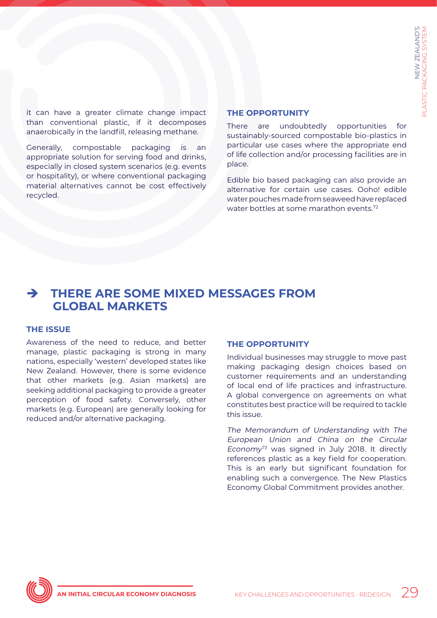it can have a greater climate change impact than conventional plastic, if it decomposes anaerobically in the landfill, releasing methane.

Generally, compostable packaging is an appropriate solution for serving food and drinks, especially in closed system scenarios (e.g. events or hospitality), or where conventional packaging material alternatives cannot be cost effectively recycled.

### **THE OPPORTUNITY**

There are undoubtedly opportunities for sustainably-sourced compostable bio-plastics in particular use cases where the appropriate end of life collection and/or processing facilities are in place.

Edible bio based packaging can also provide an alternative for certain use cases. Ooho! edible water pouches made from seaweed have replaced water bottles at some marathon events.<sup>72</sup>

## è **THERE ARE SOME MIXED MESSAGES FROM GLOBAL MARKETS**

#### **THE ISSUE**

Awareness of the need to reduce, and better manage, plastic packaging is strong in many nations, especially 'western' developed states like New Zealand. However, there is some evidence that other markets (e.g. Asian markets) are seeking additional packaging to provide a greater perception of food safety. Conversely, other markets (e.g. European) are generally looking for reduced and/or alternative packaging.

#### **THE OPPORTUNITY**

Individual businesses may struggle to move past making packaging design choices based on customer requirements and an understanding of local end of life practices and infrastructure. A global convergence on agreements on what constitutes best practice will be required to tackle this issue.

The Memorandum of Understanding with The European Union and China on the Circular Economy<sup>73</sup> was signed in July 2018. It directly references plastic as a key field for cooperation. This is an early but significant foundation for enabling such a convergence. The New Plastics Economy Global Commitment provides another.

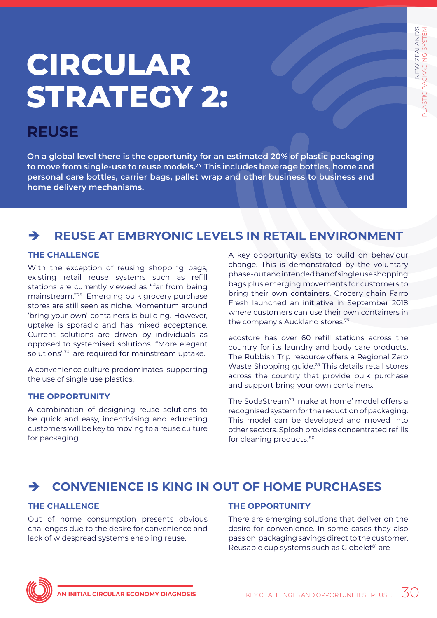# <span id="page-29-0"></span>**CIRCULAR STRATEGY 2:**

## **REUSE**

**On a global level there is the opportunity for an estimated 20% of plastic packaging to move from single-use to reuse models.74 This includes beverage bottles, home and personal care bottles, carrier bags, pallet wrap and other business to business and home delivery mechanisms.**

## è **REUSE AT EMBRYONIC LEVELS IN RETAIL ENVIRONMENT**

## **THE CHALLENGE**

With the exception of reusing shopping bags, existing retail reuse systems such as refill stations are currently viewed as "far from being mainstream."75 Emerging bulk grocery purchase stores are still seen as niche. Momentum around 'bring your own' containers is building. However, uptake is sporadic and has mixed acceptance. Current solutions are driven by individuals as opposed to systemised solutions. "More elegant solutions"76 are required for mainstream uptake.

A convenience culture predominates, supporting the use of single use plastics.

## **THE OPPORTUNITY**

A combination of designing reuse solutions to be quick and easy, incentivising and educating customers will be key to moving to a reuse culture for packaging.

A key opportunity exists to build on behaviour change. This is demonstrated by the voluntary phase-out and intended ban of single use shopping bags plus emerging movements for customers to bring their own containers. Grocery chain Farro Fresh launched an initiative in September 2018 where customers can use their own containers in the company's Auckland stores.77

ecostore has over 60 refill stations across the country for its laundry and body care products. The Rubbish Trip resource offers a Regional Zero Waste Shopping guide.<sup>78</sup> This details retail stores across the country that provide bulk purchase and support bring your own containers.

The SodaStream<sup>79</sup> 'make at home' model offers a recognised system for the reduction of packaging. This model can be developed and moved into other sectors. Splosh provides concentrated refills for cleaning products.<sup>80</sup>

## è **CONVENIENCE IS KING IN OUT OF HOME PURCHASES**

## **THE CHALLENGE**

Out of home consumption presents obvious challenges due to the desire for convenience and lack of widespread systems enabling reuse.

## **THE OPPORTUNITY**

There are emerging solutions that deliver on the desire for convenience. In some cases they also pass on packaging savings direct to the customer. Reusable cup systems such as Globelet<sup>81</sup> are

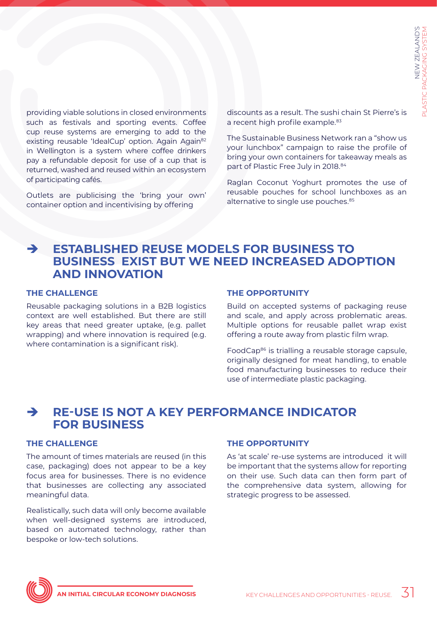providing viable solutions in closed environments such as festivals and sporting events. Coffee cup reuse systems are emerging to add to the existing reusable 'IdealCup' option. Again Again<sup>82</sup> in Wellington is a system where coffee drinkers pay a refundable deposit for use of a cup that is returned, washed and reused within an ecosystem of participating cafés.

Outlets are publicising the 'bring your own' container option and incentivising by offering

discounts as a result. The sushi chain St Pierre's is a recent high profile example.<sup>83</sup>

The Sustainable Business Network ran a "show us your lunchbox" campaign to raise the profile of bring your own containers for takeaway meals as part of Plastic Free July in 2018.<sup>84</sup>

Raglan Coconut Yoghurt promotes the use of reusable pouches for school lunchboxes as an alternative to single use pouches.<sup>85</sup>

## è **ESTABLISHED REUSE MODELS FOR BUSINESS TO BUSINESS EXIST BUT WE NEED INCREASED ADOPTION AND INNOVATION**

## **THE CHALLENGE**

Reusable packaging solutions in a B2B logistics context are well established. But there are still key areas that need greater uptake, (e.g. pallet wrapping) and where innovation is required (e.g. where contamination is a significant risk).

#### **THE OPPORTUNITY**

Build on accepted systems of packaging reuse and scale, and apply across problematic areas. Multiple options for reusable pallet wrap exist offering a route away from plastic film wrap.

FoodCap<sup>86</sup> is trialling a reusable storage capsule, originally designed for meat handling, to enable food manufacturing businesses to reduce their use of intermediate plastic packaging.

## è **RE-USE IS NOT A KEY PERFORMANCE INDICATOR FOR BUSINESS**

#### **THE CHALLENGE**

The amount of times materials are reused (in this case, packaging) does not appear to be a key focus area for businesses. There is no evidence that businesses are collecting any associated meaningful data.

Realistically, such data will only become available when well-designed systems are introduced, based on automated technology, rather than bespoke or low-tech solutions.

#### **THE OPPORTUNITY**

As 'at scale' re-use systems are introduced it will be important that the systems allow for reporting on their use. Such data can then form part of the comprehensive data system, allowing for strategic progress to be assessed.

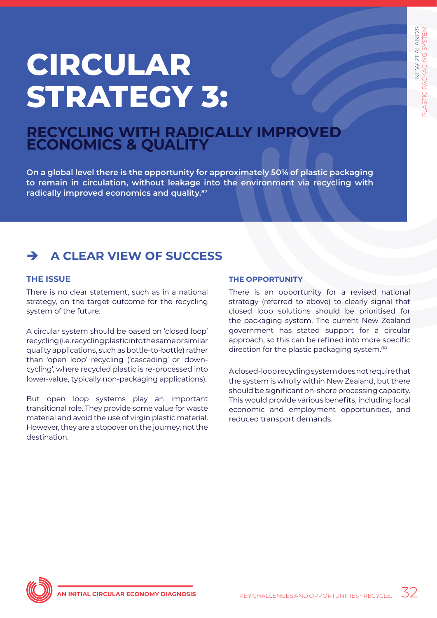# <span id="page-31-0"></span>**CIRCULAR STRATEGY 3:**

## **RECYCLING WITH RADICALLY IMPROVED ECONOMICS & QUALITY**

**On a global level there is the opportunity for approximately 50% of plastic packaging to remain in circulation, without leakage into the environment via recycling with radically improved economics and quality.87**

## è **A CLEAR VIEW OF SUCCESS**

## **THE ISSUE**

There is no clear statement, such as in a national strategy, on the target outcome for the recycling system of the future.

A circular system should be based on 'closed loop' recycling (i.e. recycling plastic into the same or similar quality applications, such as bottle-to-bottle) rather than 'open loop' recycling ('cascading' or 'downcycling', where recycled plastic is re-processed into lower-value, typically non-packaging applications).

But open loop systems play an important transitional role. They provide some value for waste material and avoid the use of virgin plastic material. However, they are a stopover on the journey, not the destination.

## **THE OPPORTUNITY**

There is an opportunity for a revised national strategy (referred to above) to clearly signal that closed loop solutions should be prioritised for the packaging system. The current New Zealand government has stated support for a circular approach, so this can be refined into more specific direction for the plastic packaging system.<sup>88</sup>

A closed-loop recycling system does not require that the system is wholly within New Zealand, but there should be significant on-shore processing capacity. This would provide various benefits, including local economic and employment opportunities, and reduced transport demands.

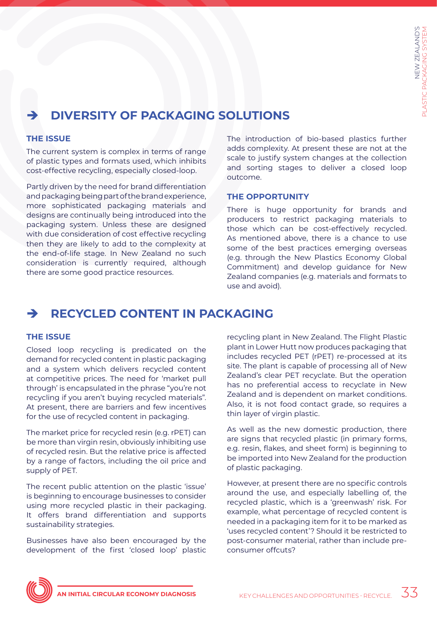## è **DIVERSITY OF PACKAGING SOLUTIONS**

### **THE ISSUE**

The current system is complex in terms of range of plastic types and formats used, which inhibits cost-effective recycling, especially closed-loop.

Partly driven by the need for brand differentiation and packaging being part of the brand experience, more sophisticated packaging materials and designs are continually being introduced into the packaging system. Unless these are designed with due consideration of cost effective recycling then they are likely to add to the complexity at the end-of-life stage. In New Zealand no such consideration is currently required, although there are some good practice resources.

The introduction of bio-based plastics further adds complexity. At present these are not at the scale to justify system changes at the collection and sorting stages to deliver a closed loop outcome.

### **THE OPPORTUNITY**

There is huge opportunity for brands and producers to restrict packaging materials to those which can be cost-effectively recycled. As mentioned above, there is a chance to use some of the best practices emerging overseas (e.g. through the New Plastics Economy Global Commitment) and develop guidance for New Zealand companies (e.g. materials and formats to use and avoid).

## è **RECYCLED CONTENT IN PACKAGING**

## **THE ISSUE**

Closed loop recycling is predicated on the demand for recycled content in plastic packaging and a system which delivers recycled content at competitive prices. The need for 'market pull through' is encapsulated in the phrase "you're not recycling if you aren't buying recycled materials". At present, there are barriers and few incentives for the use of recycled content in packaging.

The market price for recycled resin (e.g. rPET) can be more than virgin resin, obviously inhibiting use of recycled resin. But the relative price is affected by a range of factors, including the oil price and supply of PET.

The recent public attention on the plastic 'issue' is beginning to encourage businesses to consider using more recycled plastic in their packaging. It offers brand differentiation and supports sustainability strategies.

Businesses have also been encouraged by the development of the first 'closed loop' plastic

recycling plant in New Zealand. The Flight Plastic plant in Lower Hutt now produces packaging that includes recycled PET (rPET) re-processed at its site. The plant is capable of processing all of New Zealand's clear PET recyclate. But the operation has no preferential access to recyclate in New Zealand and is dependent on market conditions. Also, it is not food contact grade, so requires a thin layer of virgin plastic.

As well as the new domestic production, there are signs that recycled plastic (in primary forms, e.g. resin, flakes, and sheet form) is beginning to be imported into New Zealand for the production of plastic packaging.

However, at present there are no specific controls around the use, and especially labelling of, the recycled plastic, which is a 'greenwash' risk. For example, what percentage of recycled content is needed in a packaging item for it to be marked as 'uses recycled content'? Should it be restricted to post-consumer material, rather than include preconsumer offcuts?

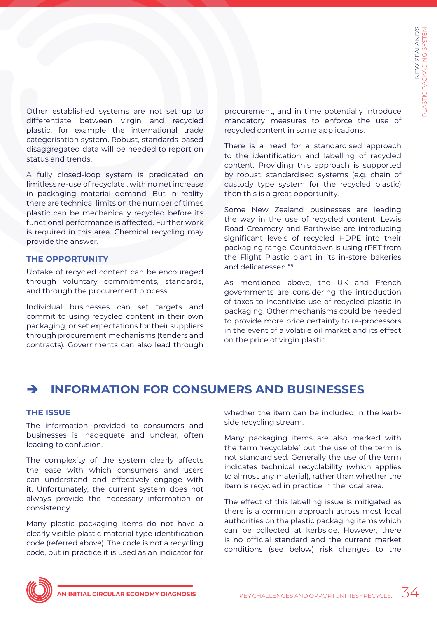Other established systems are not set up to differentiate between virgin and recycled plastic, for example the international trade categorisation system. Robust, standards-based disaggregated data will be needed to report on status and trends.

A fully closed-loop system is predicated on limitless re-use of recyclate , with no net increase in packaging material demand. But in reality there are technical limits on the number of times plastic can be mechanically recycled before its functional performance is affected. Further work is required in this area. Chemical recycling may provide the answer.

#### **THE OPPORTUNITY**

Uptake of recycled content can be encouraged through voluntary commitments, standards, and through the procurement process.

Individual businesses can set targets and commit to using recycled content in their own packaging, or set expectations for their suppliers through procurement mechanisms (tenders and contracts). Governments can also lead through procurement, and in time potentially introduce mandatory measures to enforce the use of recycled content in some applications.

There is a need for a standardised approach to the identification and labelling of recycled content. Providing this approach is supported by robust, standardised systems (e.g. chain of custody type system for the recycled plastic) then this is a great opportunity.

Some New Zealand businesses are leading the way in the use of recycled content. Lewis Road Creamery and Earthwise are introducing significant levels of recycled HDPE into their packaging range. Countdown is using rPET from the Flight Plastic plant in its in-store bakeries and delicatessen.89

As mentioned above, the UK and French governments are considering the introduction of taxes to incentivise use of recycled plastic in packaging. Other mechanisms could be needed to provide more price certainty to re-processors in the event of a volatile oil market and its effect on the price of virgin plastic.

## è **INFORMATION FOR CONSUMERS AND BUSINESSES**

## **THE ISSUE**

The information provided to consumers and businesses is inadequate and unclear, often leading to confusion.

The complexity of the system clearly affects the ease with which consumers and users can understand and effectively engage with it. Unfortunately, the current system does not always provide the necessary information or consistency.

Many plastic packaging items do not have a clearly visible plastic material type identification code (referred above). The code is not a recycling code, but in practice it is used as an indicator for

whether the item can be included in the kerbside recycling stream.

Many packaging items are also marked with the term 'recyclable' but the use of the term is not standardised. Generally the use of the term indicates technical recyclability (which applies to almost any material), rather than whether the item is recycled in practice in the local area.

The effect of this labelling issue is mitigated as there is a common approach across most local authorities on the plastic packaging items which can be collected at kerbside. However, there is no official standard and the current market conditions (see below) risk changes to the

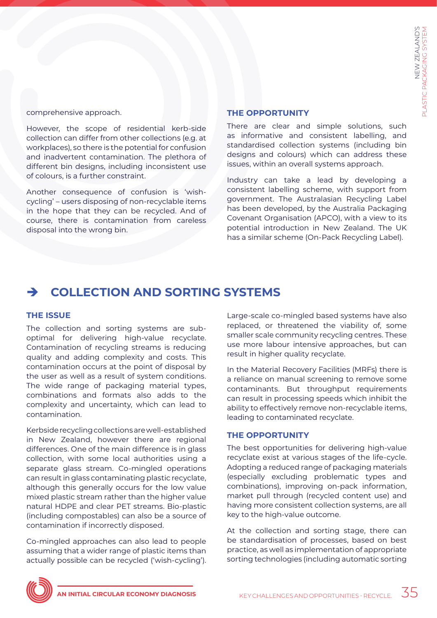comprehensive approach.

However, the scope of residential kerb-side collection can differ from other collections (e.g. at workplaces), so there is the potential for confusion and inadvertent contamination. The plethora of different bin designs, including inconsistent use of colours, is a further constraint.

Another consequence of confusion is 'wishcycling' – users disposing of non-recyclable items in the hope that they can be recycled. And of course, there is contamination from careless disposal into the wrong bin.

#### **THE OPPORTUNITY**

There are clear and simple solutions, such as informative and consistent labelling, and standardised collection systems (including bin designs and colours) which can address these issues, within an overall systems approach.

Industry can take a lead by developing a consistent labelling scheme, with support from government. The Australasian Recycling Label has been developed, by the Australia Packaging Covenant Organisation (APCO), with a view to its potential introduction in New Zealand. The UK has a similar scheme (On-Pack Recycling Label).

## è **COLLECTION AND SORTING SYSTEMS**

#### **THE ISSUE**

The collection and sorting systems are suboptimal for delivering high-value recyclate. Contamination of recycling streams is reducing quality and adding complexity and costs. This contamination occurs at the point of disposal by the user as well as a result of system conditions. The wide range of packaging material types, combinations and formats also adds to the complexity and uncertainty, which can lead to contamination.

Kerbside recycling collections are well-established in New Zealand, however there are regional differences. One of the main difference is in glass collection, with some local authorities using a separate glass stream. Co-mingled operations can result in glass contaminating plastic recyclate, although this generally occurs for the low value mixed plastic stream rather than the higher value natural HDPE and clear PET streams. Bio-plastic (including compostables) can also be a source of contamination if incorrectly disposed.

Co-mingled approaches can also lead to people assuming that a wider range of plastic items than actually possible can be recycled ('wish-cycling'). Large-scale co-mingled based systems have also replaced, or threatened the viability of, some smaller scale community recycling centres. These use more labour intensive approaches, but can result in higher quality recyclate.

In the Material Recovery Facilities (MRFs) there is a reliance on manual screening to remove some contaminants. But throughput requirements can result in processing speeds which inhibit the ability to effectively remove non-recyclable items, leading to contaminated recyclate.

## **THE OPPORTUNITY**

The best opportunities for delivering high-value recyclate exist at various stages of the life-cycle. Adopting a reduced range of packaging materials (especially excluding problematic types and combinations), improving on-pack information, market pull through (recycled content use) and having more consistent collection systems, are all key to the high-value outcome.

At the collection and sorting stage, there can be standardisation of processes, based on best practice, as well as implementation of appropriate sorting technologies (including automatic sorting

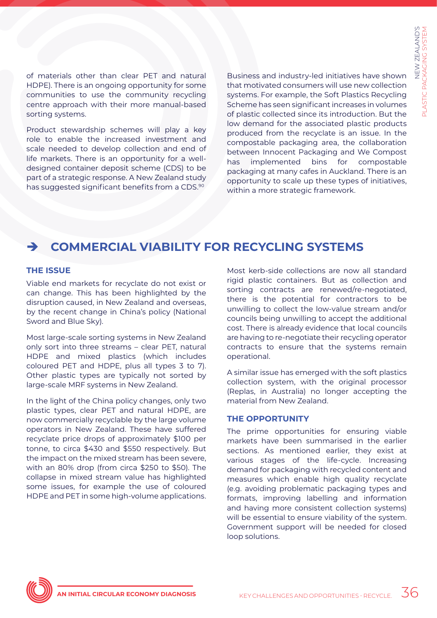of materials other than clear PET and natural HDPE). There is an ongoing opportunity for some communities to use the community recycling centre approach with their more manual-based sorting systems.

Product stewardship schemes will play a key role to enable the increased investment and scale needed to develop collection and end of life markets. There is an opportunity for a welldesigned container deposit scheme (CDS) to be part of a strategic response. A New Zealand study has suggested significant benefits from a CDS.<sup>90</sup>

Business and industry-led initiatives have shown that motivated consumers will use new collection systems. For example, the Soft Plastics Recycling Scheme has seen significant increases in volumes of plastic collected since its introduction. But the low demand for the associated plastic products produced from the recyclate is an issue. In the compostable packaging area, the collaboration between Innocent Packaging and We Compost has implemented bins for compostable packaging at many cafes in Auckland. There is an opportunity to scale up these types of initiatives, within a more strategic framework.

## è **COMMERCIAL VIABILITY FOR RECYCLING SYSTEMS**

### **THE ISSUE**

Viable end markets for recyclate do not exist or can change. This has been highlighted by the disruption caused, in New Zealand and overseas, by the recent change in China's policy (National Sword and Blue Sky).

Most large-scale sorting systems in New Zealand only sort into three streams – clear PET, natural HDPE and mixed plastics (which includes coloured PET and HDPE, plus all types 3 to 7). Other plastic types are typically not sorted by large-scale MRF systems in New Zealand.

In the light of the China policy changes, only two plastic types, clear PET and natural HDPE, are now commercially recyclable by the large volume operators in New Zealand. These have suffered recyclate price drops of approximately \$100 per tonne, to circa \$430 and \$550 respectively. But the impact on the mixed stream has been severe, with an 80% drop (from circa \$250 to \$50). The collapse in mixed stream value has highlighted some issues, for example the use of coloured HDPE and PET in some high-volume applications.

Most kerb-side collections are now all standard rigid plastic containers. But as collection and sorting contracts are renewed/re-negotiated, there is the potential for contractors to be unwilling to collect the low-value stream and/or councils being unwilling to accept the additional cost. There is already evidence that local councils are having to re-negotiate their recycling operator contracts to ensure that the systems remain operational.

A similar issue has emerged with the soft plastics collection system, with the original processor (Replas, in Australia) no longer accepting the material from New Zealand.

#### **THE OPPORTUNITY**

The prime opportunities for ensuring viable markets have been summarised in the earlier sections. As mentioned earlier, they exist at various stages of the life-cycle. Increasing demand for packaging with recycled content and measures which enable high quality recyclate (e.g. avoiding problematic packaging types and formats, improving labelling and information and having more consistent collection systems) will be essential to ensure viability of the system. Government support will be needed for closed loop solutions.

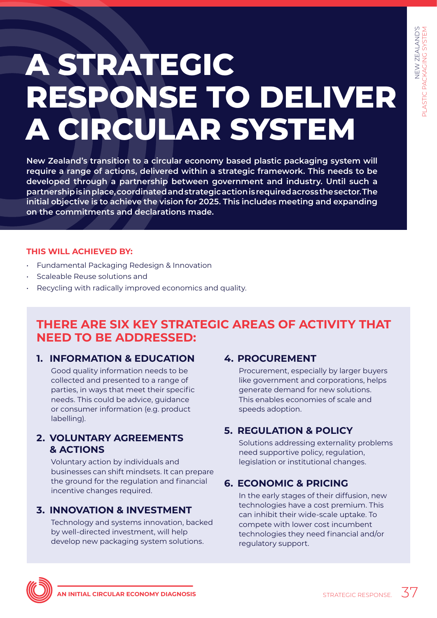# <span id="page-36-0"></span>**A STRATEGIC RESPONSE TO DELIVER A CIRCULAR SYSTEM**

**New Zealand's transition to a circular economy based plastic packaging system will require a range of actions, delivered within a strategic framework. This needs to be developed through a partnership between government and industry. Until such a partnership is in place, coordinated and strategic action is required across the sector. The initial objective is to achieve the vision for 2025. This includes meeting and expanding on the commitments and declarations made.**

## **THIS WILL ACHIEVED BY:**

- Fundamental Packaging Redesign & Innovation
- Scaleable Reuse solutions and
- Recycling with radically improved economics and quality.

## **THERE ARE SIX KEY STRATEGIC AREAS OF ACTIVITY THAT NEED TO BE ADDRESSED:**

## **1. INFORMATION & EDUCATION**

Good quality information needs to be collected and presented to a range of parties, in ways that meet their specific needs. This could be advice, guidance or consumer information (e.g. product labelling).

## **2. VOLUNTARY AGREEMENTS & ACTIONS**

Voluntary action by individuals and businesses can shift mindsets. It can prepare the ground for the regulation and financial incentive changes required.

## **3. INNOVATION & INVESTMENT**

Technology and systems innovation, backed by well-directed investment, will help develop new packaging system solutions.

## **4. PROCUREMENT**

Procurement, especially by larger buyers like government and corporations, helps generate demand for new solutions. This enables economies of scale and speeds adoption.

## **5. REGULATION & POLICY**

Solutions addressing externality problems need supportive policy, regulation, legislation or institutional changes.

## **6. ECONOMIC & PRICING**

In the early stages of their diffusion, new technologies have a cost premium. This can inhibit their wide-scale uptake. To compete with lower cost incumbent technologies they need financial and/or regulatory support.

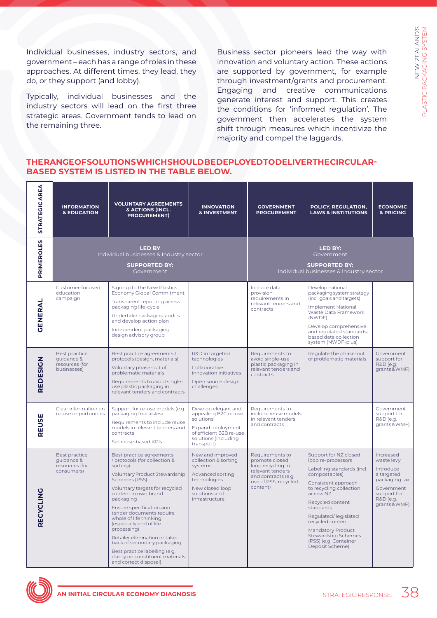Individual businesses, industry sectors, and government – each has a range of roles in these approaches. At different times, they lead, they do, or they support (and lobby).

Typically, individual businesses and the industry sectors will lead on the first three strategic areas. Government tends to lead on the remaining three.

Business sector pioneers lead the way with innovation and voluntary action. These actions are supported by government, for example through investment/grants and procurement. Engaging and creative communications generate interest and support. This creates the conditions for 'informed regulation'. The government then accelerates the system shift through measures which incentivize the majority and compel the laggards.

NEW ZEALAND'S

PLASTIC PACKAGING SYSTEM

NEW ZEALAND'S<br>PLASTIC PACKAGING SYSTEM

## **THE RANGE OF SOLUTIONS WHICH SHOULD BE DEPLOYED TO DELIVER THE CIRCULAR-BASED SYSTEM IS LISTED IN THE TABLE BELOW.**

| <b>STRATEGIC AREA</b> | <b>INFORMATION</b><br><b>&amp; EDUCATION</b>                 | <b>VOLUNTARY AGREEMENTS</b><br>& ACTIONS (INCL.<br><b>PROCUREMENT)</b>                                                                                                                                                                                                                                                                                                                                                                                                                 | <b>INNOVATION</b><br><b>&amp; INVESTMENT</b>                                                                                                   | <b>GOVERNMENT</b><br><b>PROCUREMENT</b>                                                                                               | POLICY, REGULATION,<br><b>LAWS &amp; INSTITUTIONS</b>                                                                                                                                                                                                                                                                          | <b>ECONOMIC</b><br>& PRICING                                                                                                 |  |
|-----------------------|--------------------------------------------------------------|----------------------------------------------------------------------------------------------------------------------------------------------------------------------------------------------------------------------------------------------------------------------------------------------------------------------------------------------------------------------------------------------------------------------------------------------------------------------------------------|------------------------------------------------------------------------------------------------------------------------------------------------|---------------------------------------------------------------------------------------------------------------------------------------|--------------------------------------------------------------------------------------------------------------------------------------------------------------------------------------------------------------------------------------------------------------------------------------------------------------------------------|------------------------------------------------------------------------------------------------------------------------------|--|
| <b>PRIMEROLES</b>     |                                                              | <b>LED BY</b><br>Individual businesses & Industry sector<br><b>SUPPORTED BY:</b><br>Government                                                                                                                                                                                                                                                                                                                                                                                         | <b>LED BY:</b><br>Government<br><b>SUPPORTED BY:</b><br>Individual businesses & Industry sector                                                |                                                                                                                                       |                                                                                                                                                                                                                                                                                                                                |                                                                                                                              |  |
| <b>GENERAL</b>        | Customer-focused<br>education<br>campaign                    | Sign-up to the New Plastics<br>Economy Global Commitment<br>Transparent reporting across<br>packaging life-cycle<br>Undertake packaging audits<br>and develop action plan<br>Independent packaging<br>design advisory group                                                                                                                                                                                                                                                            |                                                                                                                                                | Include data<br>provision<br>requirements in<br>relevant tenders and<br>contracts                                                     | Develop national<br>packaging system strategy<br>(incl. goals and targets)<br><b>Implement National</b><br>Waste Data Framework<br>(NWDF)<br>Develop comprehensive<br>and regulated standards-<br>based data collection<br>system (NWDF-plus)                                                                                  |                                                                                                                              |  |
| REDESIGN              | Best practice<br>guidance &<br>resources (for<br>businesses) | Best practice agreements/<br>protocols (design, materials)<br>Voluntary phase-out of<br>problematic materials<br>Requirements to avoid single-<br>use plastic packaging in<br>relevant tenders and contracts                                                                                                                                                                                                                                                                           | R&D in targeted<br>technologies<br>Collaborative<br>innovation initiatives<br>Open source design<br>challenges                                 | Requirements to<br>avoid single-use<br>plastic packaging in<br>relevant tenders and<br>contracts                                      | Regulate the phase-out<br>of problematic materials                                                                                                                                                                                                                                                                             | Government<br>support for<br>R&D (e.g.<br>grants&WMF)                                                                        |  |
| REUSE                 | Clear information on<br>re-use opportunities                 | Support for re-use models (e.g.<br>packaging free aisles)<br>Requirements to include reuse<br>models in relevant tenders and<br>contracts<br>Set reuse-based KPIs                                                                                                                                                                                                                                                                                                                      | Develop elegant and<br>appealing B2C re-use<br>solutions<br>Expand deployment<br>of efficient B2B re-use<br>solutions (including<br>transport) | Requirements to<br>include reuse models<br>in relevant tenders<br>and contracts                                                       |                                                                                                                                                                                                                                                                                                                                | Government<br>support for<br>R&D (e.g.<br>grants&WMF)                                                                        |  |
| RECYCLING             | Best practice<br>quidance &<br>resources (for<br>consumers)  | Best practice agreements<br>protocols (for collection &<br>sorting)<br>Voluntary Product Stewardship<br>Schemes (PSS)<br>Voluntary targets for recycled<br>content in own brand<br>packaging<br>Ensure specification and<br>tender documents require<br>whole of life thinking<br>(especially end of life<br>processing)<br>Retailer elimination or take-<br>back of secondary packaging<br>Best practice labelling (e.g.<br>clarity on constituent materials<br>and correct disposal) | New and improved<br>collection & sorting<br>systems<br>Advanced sorting<br>technologies<br>New closed loop<br>solutions and<br>infrastructure  | Requirements to<br>promote closed<br>loop recycling in<br>relevant tenders<br>and contracts (e.g.<br>use of PSS, recycled<br>content) | Support for NZ closed<br>loop re-processors<br>Labelling standards (incl.<br>compostables)<br>Consistent approach<br>to recycling collection<br>across NZ<br>Recycled content<br>standards<br>Regulated/legislated<br>recycled content<br>Mandatory Product<br>Stewardship Schemes<br>(PSS) (e.g. Container<br>Deposit Scheme) | Increased<br>waste levy<br>Introduce<br>a targeted<br>packaging tax<br>Government<br>support for<br>R&D (e.g.<br>grants&WMF) |  |

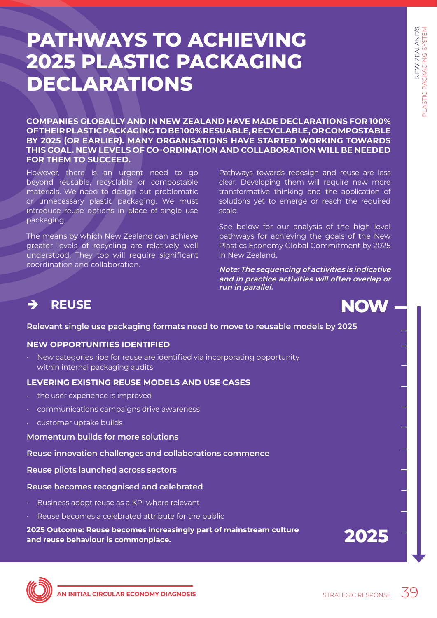# <span id="page-38-0"></span>**PATHWAYS TO ACHIEVING 2025 PLASTIC PACKAGING DECLARATIONS**

**COMPANIES GLOBALLY AND IN NEW ZEALAND HAVE MADE DECLARATIONS FOR 100% OF THEIR PLASTIC PACKAGING TO BE 100% RESUABLE, RECYCLABLE, OR COMPOSTABLE BY 2025 (OR EARLIER). MANY ORGANISATIONS HAVE STARTED WORKING TOWARDS THIS GOAL. NEW LEVELS OF CO-ORDINATION AND COLLABORATION WILL BE NEEDED FOR THEM TO SUCCEED.** 

However, there is an urgent need to go beyond reusable, recyclable or compostable materials. We need to design out problematic or unnecessary plastic packaging. We must introduce reuse options in place of single use packaging.

The means by which New Zealand can achieve greater levels of recycling are relatively well understood. They too will require significant coordination and collaboration.

Pathways towards redesign and reuse are less clear. Developing them will require new more transformative thinking and the application of solutions yet to emerge or reach the required scale.

See below for our analysis of the high level pathways for achieving the goals of the New Plastics Economy Global Commitment by 2025 in New Zealand.

**Note: The sequencing of activities is indicative and in practice activities will often overlap or run in parallel.**

## è **REUSE**

## **Relevant single use packaging formats need to move to reusable models by 2025**

## **NEW OPPORTUNITIES IDENTIFIED**

• New categories ripe for reuse are identified via incorporating opportunity within internal packaging audits

## **LEVERING EXISTING REUSE MODELS AND USE CASES**

- the user experience is improved
- communications campaigns drive awareness
- customer uptake builds

## **Momentum builds for more solutions**

**Reuse innovation challenges and collaborations commence**

**Reuse pilots launched across sectors**

## **Reuse becomes recognised and celebrated**

- Business adopt reuse as a KPI where relevant
- Reuse becomes a celebrated attribute for the public

### **2025 Outcome: Reuse becomes increasingly part of mainstream culture and reuse behaviour is commonplace.**

**2025**

**NOW**

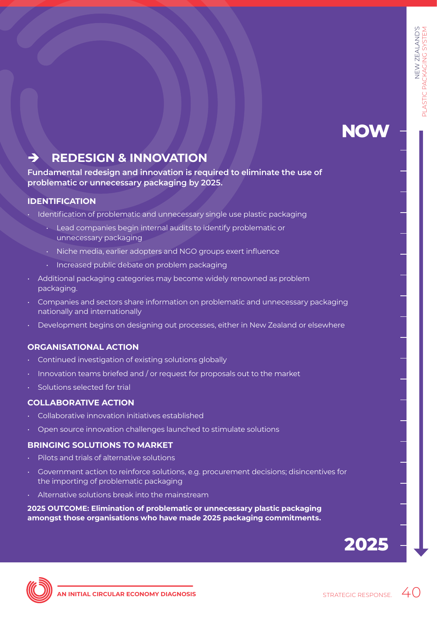## **NOW**

## è **REDESIGN & INNOVATION**

**Fundamental redesign and innovation is required to eliminate the use of problematic or unnecessary packaging by 2025.**

## **IDENTIFICATION**

- Identification of problematic and unnecessary single use plastic packaging
	- Lead companies begin internal audits to identify problematic or unnecessary packaging
	- Niche media, earlier adopters and NGO groups exert influence
	- Increased public debate on problem packaging
- Additional packaging categories may become widely renowned as problem packaging.
- Companies and sectors share information on problematic and unnecessary packaging nationally and internationally
- Development begins on designing out processes, either in New Zealand or elsewhere

## **ORGANISATIONAL ACTION**

- Continued investigation of existing solutions globally
- Innovation teams briefed and / or request for proposals out to the market
- Solutions selected for trial

## **COLLABORATIVE ACTION**

- Collaborative innovation initiatives established
- Open source innovation challenges launched to stimulate solutions

## **BRINGING SOLUTIONS TO MARKET**

- Pilots and trials of alternative solutions
- Government action to reinforce solutions, e.g. procurement decisions; disincentives for the importing of problematic packaging
- Alternative solutions break into the mainstream

**2025 OUTCOME: Elimination of problematic or unnecessary plastic packaging amongst those organisations who have made 2025 packaging commitments.**



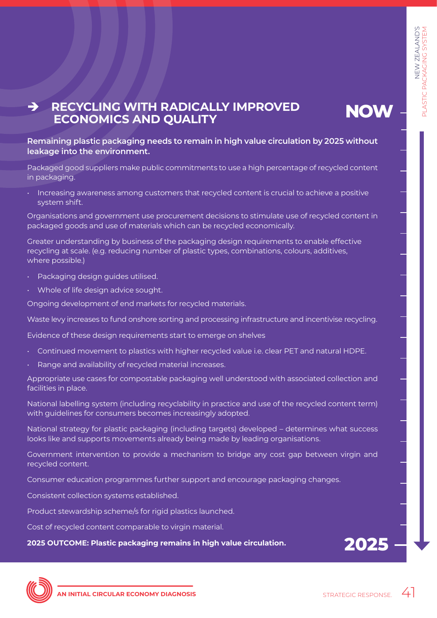## è **RECYCLING WITH RADICALLY IMPROVED ECONOMICS AND QUALITY**

**NOW**

## **Remaining plastic packaging needs to remain in high value circulation by 2025 without leakage into the environment.**

Packaged good suppliers make public commitments to use a high percentage of recycled content in packaging.

• Increasing awareness among customers that recycled content is crucial to achieve a positive system shift.

Organisations and government use procurement decisions to stimulate use of recycled content in packaged goods and use of materials which can be recycled economically.

Greater understanding by business of the packaging design requirements to enable effective recycling at scale. (e.g. reducing number of plastic types, combinations, colours, additives, where possible.)

- Packaging design guides utilised.
- Whole of life design advice sought.

Ongoing development of end markets for recycled materials.

Waste levy increases to fund onshore sorting and processing infrastructure and incentivise recycling.

Evidence of these design requirements start to emerge on shelves

- Continued movement to plastics with higher recycled value i.e. clear PET and natural HDPE.
- Range and availability of recycled material increases.

Appropriate use cases for compostable packaging well understood with associated collection and facilities in place.

National labelling system (including recyclability in practice and use of the recycled content term) with guidelines for consumers becomes increasingly adopted.

National strategy for plastic packaging (including targets) developed – determines what success looks like and supports movements already being made by leading organisations.

Government intervention to provide a mechanism to bridge any cost gap between virgin and recycled content.

Consumer education programmes further support and encourage packaging changes.

Consistent collection systems established.

Product stewardship scheme/s for rigid plastics launched.

Cost of recycled content comparable to virgin material.

**2025 OUTCOME: Plastic packaging remains in high value circulation.**



**2025**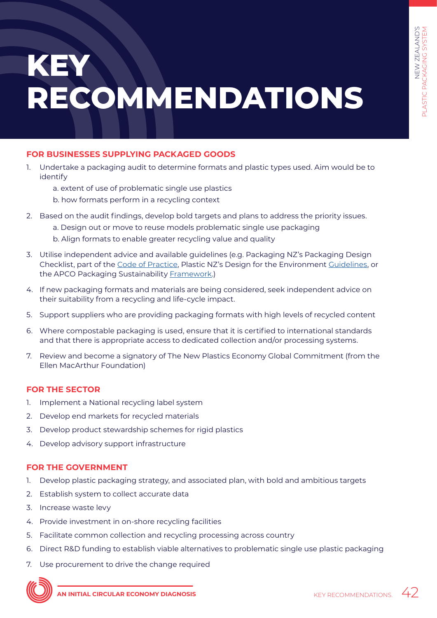# <span id="page-41-0"></span>**KEY RECOMMENDATIONS**

## **FOR BUSINESSES SUPPLYING PACKAGED GOODS**

- 1. Undertake a packaging audit to determine formats and plastic types used. Aim would be to identify
	- a. extent of use of problematic single use plastics
	- b. how formats perform in a recycling context
- 2. Based on the audit findings, develop bold targets and plans to address the priority issues.
	- a. Design out or move to reuse models problematic single use packaging b. Align formats to enable greater recycling value and quality
- 3. Utilise independent advice and available guidelines (e.g. Packaging NZ's Packaging Design Checklist, part of the [Code of Practice,](http://www.packaging.org.nz/page/15/code-of-practice) Plastic NZ's Design for the Environment [Guidelines,](http://www.plastics.org.nz/images/documents/Environment/Design_for_the_Environment_Guidelines_2006.pdf) or the APCO Packaging Sustainability [Framework.](https://www.australianpackagingassessment.com.au/apco-packaging-framework/))
- 4. If new packaging formats and materials are being considered, seek independent advice on their suitability from a recycling and life-cycle impact.
- 5. Support suppliers who are providing packaging formats with high levels of recycled content
- 6. Where compostable packaging is used, ensure that it is certified to international standards and that there is appropriate access to dedicated collection and/or processing systems.
- 7. Review and become a signatory of The New Plastics Economy Global Commitment (from the Ellen MacArthur Foundation)

## **FOR THE SECTOR**

- 1. Implement a National recycling label system
- 2. Develop end markets for recycled materials
- 3. Develop product stewardship schemes for rigid plastics
- 4. Develop advisory support infrastructure

## **FOR THE GOVERNMENT**

- 1. Develop plastic packaging strategy, and associated plan, with bold and ambitious targets
- 2. Establish system to collect accurate data
- 3. Increase waste levy
- 4. Provide investment in on-shore recycling facilities
- 5. Facilitate common collection and recycling processing across country
- 6. Direct R&D funding to establish viable alternatives to problematic single use plastic packaging
- 7. Use procurement to drive the change required

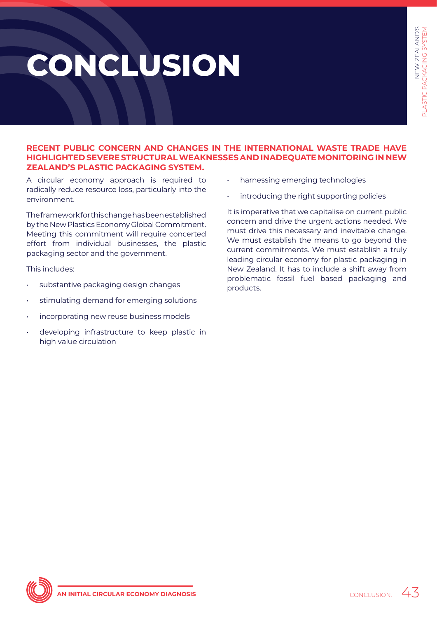# <span id="page-42-0"></span>**CONCLUSION**

#### **RECENT PUBLIC CONCERN AND CHANGES IN THE INTERNATIONAL WASTE TRADE HAVE HIGHLIGHTED SEVERE STRUCTURAL WEAKNESSES AND INADEQUATE MONITORING IN NEW ZEALAND'S PLASTIC PACKAGING SYSTEM.**

A circular economy approach is required to radically reduce resource loss, particularly into the environment.

The framework for this change has been established by the New Plastics Economy Global Commitment. Meeting this commitment will require concerted effort from individual businesses, the plastic packaging sector and the government.

This includes:

- substantive packaging design changes
- stimulating demand for emerging solutions
- incorporating new reuse business models
- developing infrastructure to keep plastic in high value circulation
- harnessing emerging technologies
- introducing the right supporting policies

It is imperative that we capitalise on current public concern and drive the urgent actions needed. We must drive this necessary and inevitable change. We must establish the means to go beyond the current commitments. We must establish a truly leading circular economy for plastic packaging in New Zealand. It has to include a shift away from problematic fossil fuel based packaging and products.

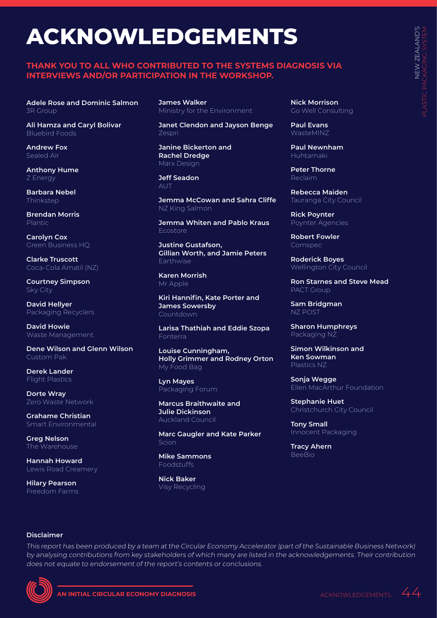# <span id="page-43-0"></span>**ACKNOWLEDGEMENTS**

#### **THANK YOU TO ALL WHO CONTRIBUTED TO THE SYSTEMS DIAGNOSIS VIA INTERVIEWS AND/OR PARTICIPATION IN THE WORKSHOP.**

**Adele Rose and Dominic Salmon**  3R Group

**Ali Hamza and Caryl Bolivar** Bluebird Foods

**Andrew Fox** Sealed Air

**Anthony Hume** Z Energy

**Barbara Nebel Thinkstep** 

**Brendan Morris** Plantic

**Carolyn Cox**  Green Business HQ

**Clarke Truscott**  Coca-Cola Amatil (NZ)

**Courtney Simpson** Sky City

**David Hellyer**  Packaging Recyclers

**David Howie**  Waste Management

**Dene Wilson and Glenn Wilson** Custom Pak

**Derek Lander** Flight Plastics

**Dorte Wray**  Zero Waste Network

**Grahame Christian** Smart Environmental

**Greg Nelson** The Warehouse

**Hannah Howard** Lewis Road Creamery

**Hilary Pearson** Freedom Farms **James Walker** Ministry for the Environment

**Janet Clendon and Jayson Benge**  Zespri

**Janine Bickerton and Rachel Dredge**  Marx Design

**Jeff Seadon** AL<sub>I</sub>

**Jemma McCowan and Sahra Cliffe** NZ King Salmon

**Jemma Whiten and Pablo Kraus** Ecostore

**Justine Gustafson, Gillian Worth, and Jamie Peters** Earthwise

**Karen Morrish**  Mr Apple

**Kiri Hannifin, Kate Porter and James Sowersby**  Countdown

**Larisa Thathiah and Eddie Szopa** Fonterra

**Louise Cunningham, Holly Grimmer and Rodney Orton**  My Food Bag

**Lyn Mayes** Packaging Forum

**Marcus Braithwaite and Julie Dickinson** Auckland Council

**Marc Gaugler and Kate Parker** Scion

**Mike Sammons** Foodstuffs

**Nick Baker** Visy Recycling **Nick Morrison**  Go Well Consulting

**Paul Evans** WasteMINZ

**Paul Newnham** Huhtamaki

**Peter Thorne** Reclaim

**Rebecca Maiden** Tauranga City Council

**Rick Poynter** Poynter Agencies

**Robert Fowler**  Comspec

**Roderick Boyes** Wellington City Council

**Ron Starnes and Steve Mead**  PACT Group

**Sam Bridgman**  NZ POST

**Sharon Humphreys**  Packaging NZ

**Simon Wilkinson and Ken Sowman**  Plastics NZ

**Sonja Wegge** Ellen MacArthur Foundation

**Stephanie Huet**  Christchurch City Council

**Tony Small** Innocent Packaging

**Tracy Ahern BeeBio** 

#### **Disclaimer**

This report has been produced by a team at the Circular Economy Accelerator (part of the Sustainable Business Network) by analysing contributions from key stakeholders of which many are listed in the acknowledgements. Their contribution does not equate to endorsement of the report's contents or conclusions.

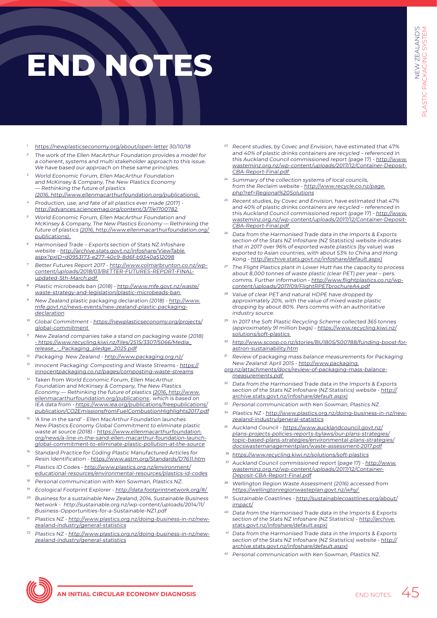# <span id="page-44-0"></span>**END NOTES**

- <sup>1</sup> <https://newplasticseconomy.org/about/open-letter>30/10/18
- <sup>2</sup>The work of the Ellen MacArthur Foundation provides a model for a coherent, systems and multi stakeholder approach to this issue. We have based our approach on these same principles.
- World Economic Forum, Ellen MacArthur Foundation and McKinsey & Company, The New Plastics Economy — Rethinking the future of plastics
- (2016, [http://www.ellenmacarthurfoundation.org/publications\).](http://www.ellenmacarthurfoundation.org/publications)  <sup>4</sup>Production, use, and fate of all plastics ever made (2017) -
- <http://advances.sciencemag.org/content/3/7/e1700782> World Economic Forum, Ellen MacArthur Foundation and McKinsey & Company, The New Plastics Economy — Rethinking the future of plastics (2016, [http://www.ellenmacarthurfoundation.org/](http://www.ellenmacarthurfoundation.org/publications) [publications\)](http://www.ellenmacarthurfoundation.org/publications).
- Harmonised Trade Exports section of Stats NZ Infoshare website - [http://archive.stats.govt.nz/infoshare/ViewTable.](http://archive.stats.govt.nz/infoshare/ViewTable.aspx?pxID=d0953173-e277-40c9-8d6f-b9340a512098) [aspx?pxID=d0953173-e277-40c9-8d6f-b9340a512098](http://archive.stats.govt.nz/infoshare/ViewTable.aspx?pxID=d0953173-e277-40c9-8d6f-b9340a512098)
- Better Futures Report 2017 - [http://www.colmarbrunton.co.nz/wp](http://www.colmarbrunton.co.nz/wp-content/uploads/2018/03/BETTER-FUTURES-REPORT-FINAL-updated-5th-March.pdf)[content/uploads/2018/03/BETTER-FUTURES-REPORT-FINAL](http://www.colmarbrunton.co.nz/wp-content/uploads/2018/03/BETTER-FUTURES-REPORT-FINAL-updated-5th-March.pdf)[updated-5th-March.pdf](http://www.colmarbrunton.co.nz/wp-content/uploads/2018/03/BETTER-FUTURES-REPORT-FINAL-updated-5th-March.pdf)
- <sup>8</sup> Plastic microbeads ban (2018) [http://www.mfe.govt.nz/waste/](http://www.mfe.govt.nz/waste/waste-strategy-and-legislation/plastic-microbeads-ban) [waste-strategy-and-legislation/plastic-microbeads-ban](http://www.mfe.govt.nz/waste/waste-strategy-and-legislation/plastic-microbeads-ban)
- New Zealand plastic packaging declaration (2018) - [http://www.](http://www.mfe.govt.nz/news-events/new-zealand-plastic-packaging-declaration) [mfe.govt.nz/news-events/new-zealand-plastic-packaging](http://www.mfe.govt.nz/news-events/new-zealand-plastic-packaging-declaration)[declaration](http://www.mfe.govt.nz/news-events/new-zealand-plastic-packaging-declaration)
- Global Commitment - [https://newplasticseconomy.org/projects/](https://newplasticseconomy.org/projects/global-commitment) [global-commitment](https://newplasticseconomy.org/projects/global-commitment)
- <sup>11</sup>New Zealand companies take a stand on packaging waste (2018) [- https://www.recycling.kiwi.nz/files/2515/3307/5066/Media\\_](https://www.recycling.kiwi.nz/files/2515/3307/5066/Media_release_-_Packaging_pledge_2025.pdf) [release\\_-\\_Packaging\\_pledge\\_2025.pdf](https://www.recycling.kiwi.nz/files/2515/3307/5066/Media_release_-_Packaging_pledge_2025.pdf)
- <sup>12</sup> Packaging New Zealand -<http://www.packaging.org.nz/> <sup>13</sup> Innocent Packaging: Composting and Waste Streams - [https://](https://innocentpackaging.co.nz/pages/composting-waste-streams)
- [innocentpackaging.co.nz/pages/composting-waste-streams](https://innocentpackaging.co.nz/pages/composting-waste-streams)
- Taken from World Economic Forum, Ellen MacArthur Foundation and McKinsey & Company, The New Plastics Economy — Rethinking the future of plastics [\(2016, http://www.](http://www.ellenmacarthurfoundation.org/publications) ellenmacarthurfoundation.org/publications. which is based on IEA data from - [https://www.iea.org/publications/freepublications/](https://www.iea.org/publications/freepublications/publication/CO2EmissionsfromFuelCombustionHighlights2017.pdf) [publication/CO2EmissionsfromFuelCombustionHighlights2017.pdf](https://www.iea.org/publications/freepublications/publication/CO2EmissionsfromFuelCombustionHighlights2017.pdf)
- <sup>15</sup> 'A line in the sand' Ellen MacArthur Foundation launches New Plastics Economy Global Commitment to eliminate plastic waste at source (2018) - [https://www.ellenmacarthurfoundation.](https://www.ellenmacarthurfoundation.org/news/a-line-in-the-sand-ellen-macarthur-foundation-launch-global-commitment-to-eliminate-plastic-pollution-at-the-source) [org/news/a-line-in-the-sand-ellen-macarthur-foundation-launch](https://www.ellenmacarthurfoundation.org/news/a-line-in-the-sand-ellen-macarthur-foundation-launch-global-commitment-to-eliminate-plastic-pollution-at-the-source)[global-commitment-to-eliminate-plastic-pollution-at-the-source](https://www.ellenmacarthurfoundation.org/news/a-line-in-the-sand-ellen-macarthur-foundation-launch-global-commitment-to-eliminate-plastic-pollution-at-the-source)
- Standard Practice for Coding Plastic Manufactured Articles for Resin Identification -<https://www.astm.org/Standards/D7611.htm>
- <sup>17</sup> Plastics ID Codes [http://www.plastics.org.nz/environment/](http://www.plastics.org.nz/environment/educational-resources/environmental-resources/plastics-id-codes) [educational-resources/environmental-resources/plastics-id-codes](http://www.plastics.org.nz/environment/educational-resources/environmental-resources/plastics-id-codes)
- <sup>18</sup> Personal communication with Ken Sowman, Plastics NZ
- <sup>19</sup> Ecological Footprint Explorer http://data.footprintnetwork.org/
- <sup>20</sup> Business for a sustainable New Zealand, 2014, Sustainable Business Network - http://sustainable.org.nz/wp-content/uploads/2014/11/ Business-Opportunities-for-a-Sustainable-NZ1.pdf
- <sup>21</sup> Plastics NZ - [http://www.plastics.org.nz/doing-business-in-nz/new](http://www.plastics.org.nz/doing-business-in-nz/new-zealand-industry/general-statistics)[zealand-industry/general-statistics](http://www.plastics.org.nz/doing-business-in-nz/new-zealand-industry/general-statistics)
- <sup>22</sup> Plastics NZ - [http://www.plastics.org.nz/doing-business-in-nz/new](http://www.plastics.org.nz/doing-business-in-nz/new-zealand-industry/general-statistics)[zealand-industry/general-statistics](http://www.plastics.org.nz/doing-business-in-nz/new-zealand-industry/general-statistics)
- <sup>23</sup>Recent studies, by Covec and Envision, have estimated that 47% and 40% of plastic drinks containers are recycled – referenced in this Auckland Council commissioned report (page 17) - [http://www.](http://www.wasteminz.org.nz/wp-content/uploads/2017/12/Container-Deposit-CBA-Report-Final.pdf) [wasteminz.org.nz/wp-content/uploads/2017/12/Container-Deposit-](http://www.wasteminz.org.nz/wp-content/uploads/2017/12/Container-Deposit-CBA-Report-Final.pdf)[CBA-Report-Final.pdf](http://www.wasteminz.org.nz/wp-content/uploads/2017/12/Container-Deposit-CBA-Report-Final.pdf)
- Summary of the collection systems of local councils, from the Reclaim website - [http://www.recycle.co.nz/page.](http://www.recycle.co.nz/page.php?ref=Regional%20Solutions) [php?ref=Regional%20Solutions](http://www.recycle.co.nz/page.php?ref=Regional%20Solutions)
- <sup>25</sup> Recent studies, by Covec and Envision, have estimated that 47% and 40% of plastic drinks containers are recycled – referenced in this Auckland Council commissioned report (page 17) - [http://www.](http://www.wasteminz.org.nz/wp-content/uploads/2017/12/Container-Deposit-CBA-Report-Final.pdf) [wasteminz.org.nz/wp-content/uploads/2017/12/Container-Deposit-](http://www.wasteminz.org.nz/wp-content/uploads/2017/12/Container-Deposit-CBA-Report-Final.pdf)[CBA-Report-Final.pdf](http://www.wasteminz.org.nz/wp-content/uploads/2017/12/Container-Deposit-CBA-Report-Final.pdf)
- <sup>26</sup> Data from the Harmonised Trade data in the Imports & Exports section of the Stats NZ Infoshare (NZ Statistics) website indicates that in 2017 over 96% of exported waste plastics (by value) was exported to Asian countries, with about 53% to China and Hong Kong - [http://archive.stats.govt.nz/infoshare/default.aspx\)](http://archive.stats.govt.nz/infoshare/default.aspx)
- <sup>27</sup> The Flight Plastics plant in Lower Hutt has the capacity to process about 8,000 tonnes of waste plastic (clear PET) per year – pers. comms. Further information - [http://www.flightplastics.co.nz/wp](http://www.flightplastics.co.nz/wp-content/uploads/2017/09/FlightRPETbrochureA4.pdf)[content/uploads/2017/09/FlightRPETbrochureA4.pdf](http://www.flightplastics.co.nz/wp-content/uploads/2017/09/FlightRPETbrochureA4.pdf)
- Value of clear PET and natural HDPE have dropped by approximately 20%, with the value of mixed waste plastic dropping by about 80%. Pers comms with an authoritative industry source.
- In 2017 the Soft Plastic Recycling Scheme collected 365 tonnes (approximately 91 million bags) - [https://www.recycling.kiwi.nz/](https://www.recycling.kiwi.nz/solutions/soft-plastics) [solutions/soft-plastics](https://www.recycling.kiwi.nz/solutions/soft-plastics)
- <sup>30</sup> [http://www.scoop.co.nz/stories/BU1805/S00788/funding-boost-for](http://www.scoop.co.nz/stories/BU1805/S00788/funding-boost-for-astron-sustainability.htm)[astron-sustainability.htm](http://www.scoop.co.nz/stories/BU1805/S00788/funding-boost-for-astron-sustainability.htm)
- <sup>31</sup> Review of packaging mass balance measurements for Packaging New Zealand: April 2015 - [http://www.packaging.](http://www.packaging.org.nz/attachments/docs/review-of-packaging-mass-balance-measurements.pdf)
- [org.nz/attachments/docs/review-of-packaging-mass-balance](http://www.packaging.org.nz/attachments/docs/review-of-packaging-mass-balance-measurements.pdf)[measurements.pdf](http://www.packaging.org.nz/attachments/docs/review-of-packaging-mass-balance-measurements.pdf)
- Data from the Harmonised Trade data in the Imports & Exports section of the Stats NZ Infoshare (NZ Statistics) website - [http://](http://archive.stats.govt.nz/infoshare/default.aspx) [archive.stats.govt.nz/infoshare/default.aspx\)](http://archive.stats.govt.nz/infoshare/default.aspx)
- Personal communication with Ken Sowman, Plastics NZ.
- Plastics NZ - [http://www.plastics.org.nz/doing-business-in-nz/new](http://www.plastics.org.nz/doing-business-in-nz/new-zealand-industry/general-statistics)[zealand-industry/general-statistics](http://www.plastics.org.nz/doing-business-in-nz/new-zealand-industry/general-statistics)
- Auckland Council - [https://www.aucklandcouncil.govt.nz/](https://www.aucklandcouncil.govt.nz/plans-projects-policies-reports-bylaws/our-plans-strategies/topic-based-plans-strategies/environmental-plans-strategies/docswastemanagementplan/waste-assessment-2017.pdf) [plans-projects-policies-reports-bylaws/our-plans-strategies/](https://www.aucklandcouncil.govt.nz/plans-projects-policies-reports-bylaws/our-plans-strategies/topic-based-plans-strategies/environmental-plans-strategies/docswastemanagementplan/waste-assessment-2017.pdf) [topic-based-plans-strategies/environmental-plans-strategies/](https://www.aucklandcouncil.govt.nz/plans-projects-policies-reports-bylaws/our-plans-strategies/topic-based-plans-strategies/environmental-plans-strategies/docswastemanagementplan/waste-assessment-2017.pdf) [docswastemanagementplan/waste-assessment-2017.pdf](https://www.aucklandcouncil.govt.nz/plans-projects-policies-reports-bylaws/our-plans-strategies/topic-based-plans-strategies/environmental-plans-strategies/docswastemanagementplan/waste-assessment-2017.pdf)
- 36 <https://www.recycling.kiwi.nz/solutions/soft-plastics>
- 37 Auckland Council commissioned report (page 17) [http://www.](http://www.wasteminz.org.nz/wp-content/uploads/2017/12/Container-Deposit-CBA-Report-Final.pdf) [wasteminz.org.nz/wp-content/uploads/2017/12/Container-](http://www.wasteminz.org.nz/wp-content/uploads/2017/12/Container-Deposit-CBA-Report-Final.pdf)[Deposit-CBA-Report-Final.pdf](http://www.wasteminz.org.nz/wp-content/uploads/2017/12/Container-Deposit-CBA-Report-Final.pdf)
- Wellington Region Waste Assessment (2016) accessed from <https://wellingtonregionwasteplan.govt.nz/why/>
- Sustainable Coastlines - [http://sustainablecoastlines.org/about/](http://sustainablecoastlines.org/about/impact/) [impact/](http://sustainablecoastlines.org/about/impact/)
- <sup>40</sup> Data from the Harmonised Trade data in the Imports & Exports section of the Stats NZ Infoshare (NZ Statistics) - [http://archive.](http://archive.stats.govt.nz/infoshare/default.aspx) [stats.govt.nz/infoshare/default.aspx\)](http://archive.stats.govt.nz/infoshare/default.aspx)
- 41 Data from the Harmonised Trade data in the Imports & Exports section of the Stats NZ Infoshare (NZ Statistics) website - [http://](http://archive.stats.govt.nz/infoshare/default.aspx) [archive.stats.govt.nz/infoshare/default.aspx\)](http://archive.stats.govt.nz/infoshare/default.aspx)
- <sup>42</sup> Personal communication with Ken Sowman, Plastics NZ.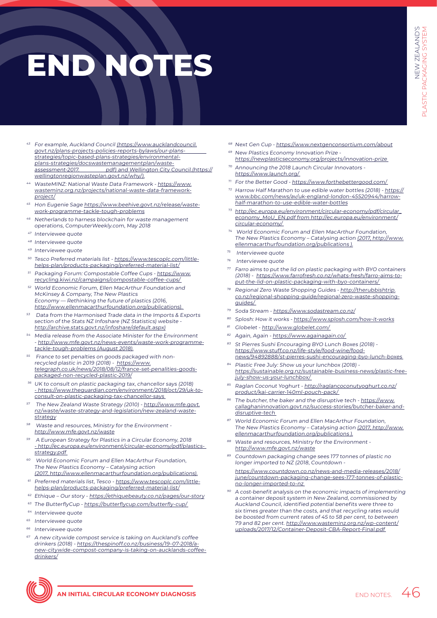# **END NOTES**

- <sup>43</sup> For example, Auckland Council [\(https://www.aucklandcouncil.](https://www.aucklandcouncil.govt.nz/plans-projects-policies-reports-bylaws/our-plans-strategies/topic-based-plans-strategies/environmental-plans-strategies/docswastemanagementplan/waste-assessment-2017.pdf) [govt.nz/plans-projects-policies-reports-bylaws/our-plans](https://www.aucklandcouncil.govt.nz/plans-projects-policies-reports-bylaws/our-plans-strategies/topic-based-plans-strategies/environmental-plans-strategies/docswastemanagementplan/waste-assessment-2017.pdf)[strategies/topic-based-plans-strategies/environmental](https://www.aucklandcouncil.govt.nz/plans-projects-policies-reports-bylaws/our-plans-strategies/topic-based-plans-strategies/environmental-plans-strategies/docswastemanagementplan/waste-assessment-2017.pdf)[plans-strategies/docswastemanagementplan/waste](https://www.aucklandcouncil.govt.nz/plans-projects-policies-reports-bylaws/our-plans-strategies/topic-based-plans-strategies/environmental-plans-strategies/docswastemanagementplan/waste-assessment-2017.pdf)assessment-2017. [pdf\) and Wellington City Council.\(https://](https://www.aucklandcouncil.govt.nz/plans-projects-policies-reports-bylaws/our-plans-strategies/topic-based-plans-strategies/environmental-plans-strategies/docswastemanagementplan/waste-assessment-2017.pdf) [wellingtonregionwasteplan.govt.nz/why/\).](https://www.aucklandcouncil.govt.nz/plans-projects-policies-reports-bylaws/our-plans-strategies/topic-based-plans-strategies/environmental-plans-strategies/docswastemanagementplan/waste-assessment-2017.pdf)
- <sup>44</sup> WasteMINZ: National Waste Data Framework [https://www.](https://www.wasteminz.org.nz/projects/national-waste-data-framework-project/) [wasteminz.org.nz/projects/national-waste-data-framework](https://www.wasteminz.org.nz/projects/national-waste-data-framework-project/)[project/](https://www.wasteminz.org.nz/projects/national-waste-data-framework-project/)
- Hon Eugenie Sage [https://www.beehive.govt.nz/release/waste](https://www.beehive.govt.nz/release/waste-work-programme-tackle-tough-problems)[work-programme-tackle-tough-problems](https://www.beehive.govt.nz/release/waste-work-programme-tackle-tough-problems)
- Netherlands to harness blockchain for waste management operations, ComputerWeekly.com, May 2018
- <sup>47</sup> Interviewee quote
- <sup>48</sup> Interviewee quote
- <sup>49</sup> Interviewee quote
- 50 Tesco Preferred materials list [https://www.tescoplc.com/little](https://www.tescoplc.com/little-helps-plan/products-packaging/preferred-material-list/)[helps-plan/products-packaging/preferred-material-list/](https://www.tescoplc.com/little-helps-plan/products-packaging/preferred-material-list/)
- 51 Packaging Forum: Compostable Coffee Cups [https://www.](https://www.recycling.kiwi.nz/campaigns/compostable-coffee-cups/) [recycling.kiwi.nz/campaigns/compostable-coffee-cups/](https://www.recycling.kiwi.nz/campaigns/compostable-coffee-cups/)
- 52 World Economic Forum, Ellen MacArthur Foundation and McKinsey & Company, The New Plastics Economy — Rethinking the future of plastics (2016, [http://www.ellenmacarthurfoundation.org/publications\).](http://www.ellenmacarthurfoundation.org/publications)
- <sup>53</sup> Data from the Harmonised Trade data in the Imports & Exports section of the Stats NZ Infoshare (NZ Statistics) website [http://archive.stats.govt.nz/infoshare/default.aspx\)](http://archive.stats.govt.nz/infoshare/default.aspx)
- Media release from the Associate Minister for the Environment - [http://www.mfe.govt.nz/news-events/waste-work-programme](http://www.mfe.govt.nz/news-events/waste-work-programme-tackle-tough-problems)[tackle-tough-problems \(August 2018\).](http://www.mfe.govt.nz/news-events/waste-work-programme-tackle-tough-problems)
- 55 France to set penalties on goods packaged with nonrecycled plastic in 2019 (2018) - [https://www.](https://www.telegraph.co.uk/news/2018/08/12/france-set-penalities-goods-packaged-non-recycled-plastic-2019/) [telegraph.co.uk/news/2018/08/12/france-set-penalities-goods](https://www.telegraph.co.uk/news/2018/08/12/france-set-penalities-goods-packaged-non-recycled-plastic-2019/)[packaged-non-recycled-plastic-2019/](https://www.telegraph.co.uk/news/2018/08/12/france-set-penalities-goods-packaged-non-recycled-plastic-2019/)
- <sup>56</sup> UK to consult on plastic packaging tax, chancellor says (2018) [- https://www.theguardian.com/environment/2018/oct/29/uk-to](https://www.theguardian.com/environment/2018/oct/29/uk-to-consult-on-plastic-packaging-tax-chancellor-says)[consult-on-plastic-packaging-tax-chancellor-says](https://www.theguardian.com/environment/2018/oct/29/uk-to-consult-on-plastic-packaging-tax-chancellor-says)
- The New Zealand Waste Strategy (2010) - [http://www.mfe.govt.](http://www.mfe.govt.nz/waste/waste-strategy-and-legislation/new-zealand-waste-strategy) [nz/waste/waste-strategy-and-legislation/new-zealand-waste](http://www.mfe.govt.nz/waste/waste-strategy-and-legislation/new-zealand-waste-strategy)[strategy](http://www.mfe.govt.nz/waste/waste-strategy-and-legislation/new-zealand-waste-strategy)
- Waste and resources, Ministry for the Environment <http://www.mfe.govt.nz/waste>
- <sup>59</sup> A European Strategy for Plastics in a Circular Economy, 2018 [- http://ec.europa.eu/environment/circular-economy/pdf/plastics](http://ec.europa.eu/environment/circular-economy/pdf/plastics-strategy.pdf)strategy.pdf
- World Economic Forum and Ellen MacArthur Foundation, The New Plastics Economy – Catalysing action [\(2017, http://www.ellenmacarthurfoundation.org/publications\).](http://www.ellenmacarthurfoundation.org/publications)
- Preferred materials list, Tesco - [https://www.tescoplc.com/little](https://www.tescoplc.com/little-helps-plan/products-packaging/preferred-material-list/)[helps-plan/products-packaging/preferred-material-list/](https://www.tescoplc.com/little-helps-plan/products-packaging/preferred-material-list/)
- <sup>62</sup> Ethique Our story <https://ethiquebeauty.co.nz/pages/our-story>
- 63 The ButterflyCup https://butterflycup.com/butterfly-cup/
- <sup>64</sup> Interviewee quote
- <sup>65</sup> Interviewee quote
- <sup>66</sup> Interviewee quote
- <sup>67</sup> A new citywide compost service is taking on Auckland's coffee drinkers (2018) - [https://thespinoff.co.nz/business/19-07-2018/a](https://thespinoff.co.nz/business/19-07-2018/a-new-citywide-compost-company-is-taking-on-aucklands-coffee-drinkers/)[new-citywide-compost-company-is-taking-on-aucklands-coffee](https://thespinoff.co.nz/business/19-07-2018/a-new-citywide-compost-company-is-taking-on-aucklands-coffee-drinkers/)[drinkers/](https://thespinoff.co.nz/business/19-07-2018/a-new-citywide-compost-company-is-taking-on-aucklands-coffee-drinkers/)
- Next Gen Cup -<https://www.nextgenconsortium.com/about>
- <sup>69</sup> New Plastics Economy Innovation Prize <https://newplasticseconomy.org/projects/innovation-prize>
- Announcing the 2018 Launch Circular Innovators <https://www.launch.org/>
- For the Better Good https://www.forthebettergood.com/
- <sup>72</sup> Harrow Half Marathon to use edible water bottles (2018) - [https://](https://www.bbc.com/news/av/uk-england-london-45520944/harrow-half-marathon-to-use-edible-water-bottles) [www.bbc.com/news/av/uk-england-london-45520944/harrow](https://www.bbc.com/news/av/uk-england-london-45520944/harrow-half-marathon-to-use-edible-water-bottles)[half-marathon-to-use-edible-water-bottles](https://www.bbc.com/news/av/uk-england-london-45520944/harrow-half-marathon-to-use-edible-water-bottles)
- [http://ec.europa.eu/environment/circular-economy/pdf/circular\\_](http://ec.europa.eu/environment/circular-economy/pdf/circular_economy_MoU_EN.pdf) [economy\\_MoU\\_EN.pdf from http://ec.europa.eu/environment/](http://ec.europa.eu/environment/circular-economy/pdf/circular_economy_MoU_EN.pdf) [circular-economy/](http://ec.europa.eu/environment/circular-economy/pdf/circular_economy_MoU_EN.pdf)
- World Economic Forum and Ellen MacArthur Foundation, The New Plastics Economy - Catalysing action [\(2017, http://www.](http://www.ellenmacarthurfoundation.org/publications) [ellenmacarthurfoundation.org/publications \).](http://www.ellenmacarthurfoundation.org/publications)
- Interviewee quote
- <sup>76</sup> Interviewee quote
- $77$  Farro aims to put the lid on plastic packaging with BYO containers (2018) - [https://www.farrofresh.co.nz/whats-fresh/farro-aims-to](https://www.farrofresh.co.nz/whats-fresh/farro-aims-to-put-the-lid-on-plastic-packaging-with-byo-containers/)[put-the-lid-on-plastic-packaging-with-byo-containers/](https://www.farrofresh.co.nz/whats-fresh/farro-aims-to-put-the-lid-on-plastic-packaging-with-byo-containers/)
- Regional Zero Waste Shopping Guides [http://therubbishtrip.](http://therubbishtrip.co.nz/regional-shopping-guide/regional-zero-waste-shopping-guides/) [co.nz/regional-shopping-guide/regional-zero-waste-shopping](http://therubbishtrip.co.nz/regional-shopping-guide/regional-zero-waste-shopping-guides/)[guides/](http://therubbishtrip.co.nz/regional-shopping-guide/regional-zero-waste-shopping-guides/)
- <sup>79</sup> Soda Stream -<https://www.sodastream.co.nz/>
- 80 Splosh: How it works -<https://www.splosh.com/how-it-works>
- <sup>81</sup> Globelet <http://www.globelet.com/>
- <sup>82</sup> Again, Again <https://www.againagain.co/>
- 83 St Pierres Sushi Encouraging BYO Lunch Boxes (2018) [https://www.stuff.co.nz/life-style/food-wine/food](https://www.stuff.co.nz/life-style/food-wine/food-news/94892888/st-pierres-sushi-encouraging-byo-lunch-boxes)[news/94892888/st-pierres-sushi-encouraging-byo-lunch-boxes](https://www.stuff.co.nz/life-style/food-wine/food-news/94892888/st-pierres-sushi-encouraging-byo-lunch-boxes)
- 84 Plastic Free July: Show us your lunchbox (2018) [https://sustainable.org.nz/sustainable-business-news/plastic-free](https://sustainable.org.nz/sustainable-business-news/plastic-free-july-show-us-your-lunchbox/)[july-show-us-your-lunchbox/](https://sustainable.org.nz/sustainable-business-news/plastic-free-july-show-us-your-lunchbox/)
- Raglan Coconut Yoghurt [http://raglancoconutyoghurt.co.nz/](http://raglancoconutyoghurt.co.nz/product/kai-carrier-140ml-pouch-pack/) [product/kai-carrier-140ml-pouch-pack/](http://raglancoconutyoghurt.co.nz/product/kai-carrier-140ml-pouch-pack/)
- The butcher, the baker and the disruptive tech [https://www.](https://www.callaghaninnovation.govt.nz/success-stories/butcher-baker-and-disruptive-tech) [callaghaninnovation.govt.nz/success-stories/butcher-baker-and](https://www.callaghaninnovation.govt.nz/success-stories/butcher-baker-and-disruptive-tech)[disruptive-tech](https://www.callaghaninnovation.govt.nz/success-stories/butcher-baker-and-disruptive-tech)
- World Economic Forum and Ellen MacArthur Foundation The New Plastics Economy - Catalysing action [\(2017, http://www.](http://www.ellenmacarthurfoundation.org/publications) [ellenmacarthurfoundation.org/publications \).](http://www.ellenmacarthurfoundation.org/publications)
- Waste and resources, Ministry for the Environment <http://www.mfe.govt.nz/waste>
- Countdown packaging change sees 177 tonnes of plastic no longer imported to NZ (2018, Countdown -

[https://www.countdown.co.nz/news-and-media-releases/2018/](https://www.countdown.co.nz/news-and-media-releases/2018/june/countdown-packaging-change-sees-177-tonnes-of-plastic-no-longer-imported-to-nz) [june/countdown-packaging-change-sees-177-tonnes-of-plastic](https://www.countdown.co.nz/news-and-media-releases/2018/june/countdown-packaging-change-sees-177-tonnes-of-plastic-no-longer-imported-to-nz)[no-longer-imported-to-nz](https://www.countdown.co.nz/news-and-media-releases/2018/june/countdown-packaging-change-sees-177-tonnes-of-plastic-no-longer-imported-to-nz) 

A cost-benefit analysis on the economic impacts of implementing a container deposit system in New Zealand, commissioned by Auckland Council, identified potential benefits were three to six times greater than the costs, and that recycling rates would be boosted from current rates of 45 to 58 per cent, to between 79 and 82 per cent. [http://www.wasteminz.org.nz/wp-content/](http://www.wasteminz.org.nz/wp-content/uploads/2017/12/Container-Deposit-CBA-Report-Final.pdf) [uploads/2017/12/Container-Deposit-CBA-Report-Final.pdf](http://www.wasteminz.org.nz/wp-content/uploads/2017/12/Container-Deposit-CBA-Report-Final.pdf)